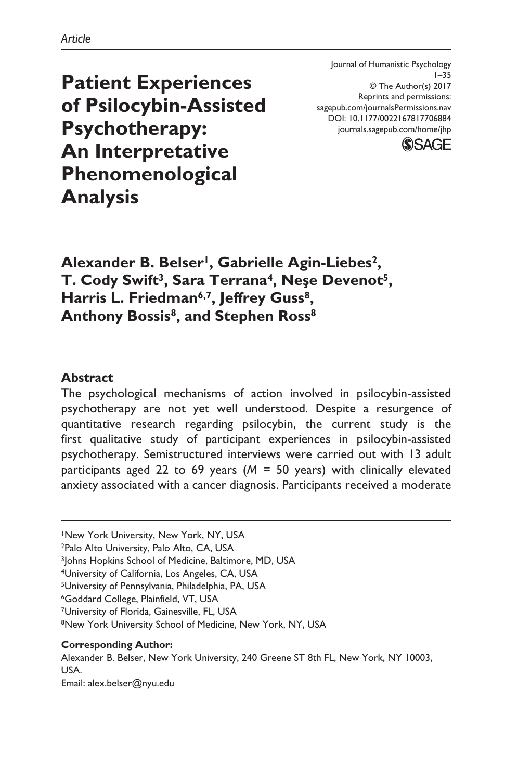DOI: 10.1177/0022167817706884 Journal of Humanistic Psychology 1–35 © The Author(s) 2017 Reprints and permissions: [sagepub.com/journalsPermissions.nav](https://us.sagepub.com/en-us/journals-permissions) [journals.sagepub.com/home/jhp](https://journals.sagepub.com/home/jhp
)



**Patient Experiences of Psilocybin-Assisted Psychotherapy: An Interpretative Phenomenological Analysis**

**Alexander B. Belser1, Gabrielle Agin-Liebes2, T. Cody Swift3, Sara Terrana4, Neşe Devenot5,**  Harris L. Friedman<sup>6,7</sup>, Jeffrey Guss<sup>8</sup>, **Anthony Bossis8, and Stephen Ross8**

#### **Abstract**

The psychological mechanisms of action involved in psilocybin-assisted psychotherapy are not yet well understood. Despite a resurgence of quantitative research regarding psilocybin, the current study is the first qualitative study of participant experiences in psilocybin-assisted psychotherapy. Semistructured interviews were carried out with 13 adult participants aged 22 to 69 years (*M* = 50 years) with clinically elevated anxiety associated with a cancer diagnosis. Participants received a moderate

<sup>3</sup>Johns Hopkins School of Medicine, Baltimore, MD, USA

6Goddard College, Plainfield, VT, USA

7University of Florida, Gainesville, FL, USA

#### **Corresponding Author:**

Alexander B. Belser, New York University, 240 Greene ST 8th FL, New York, NY 10003, USA.

Email: [alex.belser@nyu.edu](mailto:alex.belser@nyu.edu)

<sup>1</sup>New York University, New York, NY, USA

<sup>2</sup>Palo Alto University, Palo Alto, CA, USA

<sup>4</sup>University of California, Los Angeles, CA, USA

<sup>5</sup>University of Pennsylvania, Philadelphia, PA, USA

<sup>8</sup>New York University School of Medicine, New York, NY, USA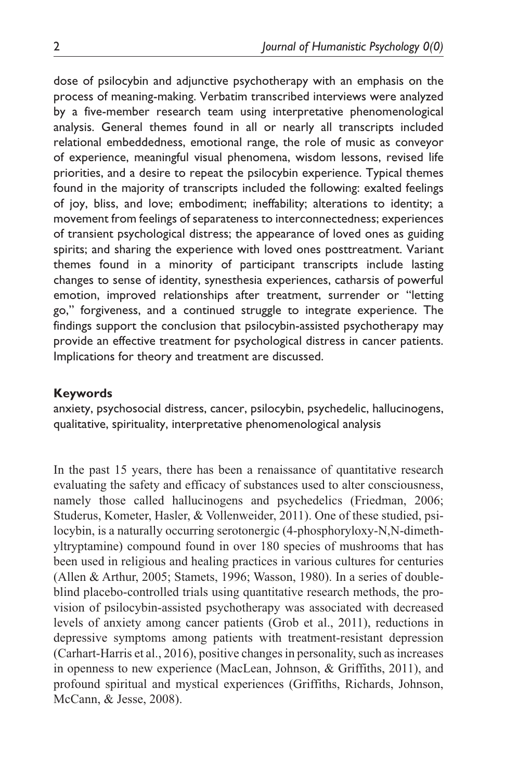dose of psilocybin and adjunctive psychotherapy with an emphasis on the process of meaning-making. Verbatim transcribed interviews were analyzed by a five-member research team using interpretative phenomenological analysis. General themes found in all or nearly all transcripts included relational embeddedness, emotional range, the role of music as conveyor of experience, meaningful visual phenomena, wisdom lessons, revised life priorities, and a desire to repeat the psilocybin experience. Typical themes found in the majority of transcripts included the following: exalted feelings of joy, bliss, and love; embodiment; ineffability; alterations to identity; a movement from feelings of separateness to interconnectedness; experiences of transient psychological distress; the appearance of loved ones as guiding spirits; and sharing the experience with loved ones posttreatment. Variant themes found in a minority of participant transcripts include lasting changes to sense of identity, synesthesia experiences, catharsis of powerful emotion, improved relationships after treatment, surrender or "letting go," forgiveness, and a continued struggle to integrate experience. The findings support the conclusion that psilocybin-assisted psychotherapy may provide an effective treatment for psychological distress in cancer patients. Implications for theory and treatment are discussed.

#### **Keywords**

anxiety, psychosocial distress, cancer, psilocybin, psychedelic, hallucinogens, qualitative, spirituality, interpretative phenomenological analysis

In the past 15 years, there has been a renaissance of quantitative research evaluating the safety and efficacy of substances used to alter consciousness, namely those called hallucinogens and psychedelics (Friedman, 2006; Studerus, Kometer, Hasler, & Vollenweider, 2011). One of these studied, psilocybin, is a naturally occurring serotonergic (4-phosphoryloxy-N,N-dimethyltryptamine) compound found in over 180 species of mushrooms that has been used in religious and healing practices in various cultures for centuries (Allen & Arthur, 2005; Stamets, 1996; Wasson, 1980). In a series of doubleblind placebo-controlled trials using quantitative research methods, the provision of psilocybin-assisted psychotherapy was associated with decreased levels of anxiety among cancer patients (Grob et al., 2011), reductions in depressive symptoms among patients with treatment-resistant depression (Carhart-Harris et al., 2016), positive changes in personality, such as increases in openness to new experience (MacLean, Johnson, & Griffiths, 2011), and profound spiritual and mystical experiences (Griffiths, Richards, Johnson, McCann, & Jesse, 2008).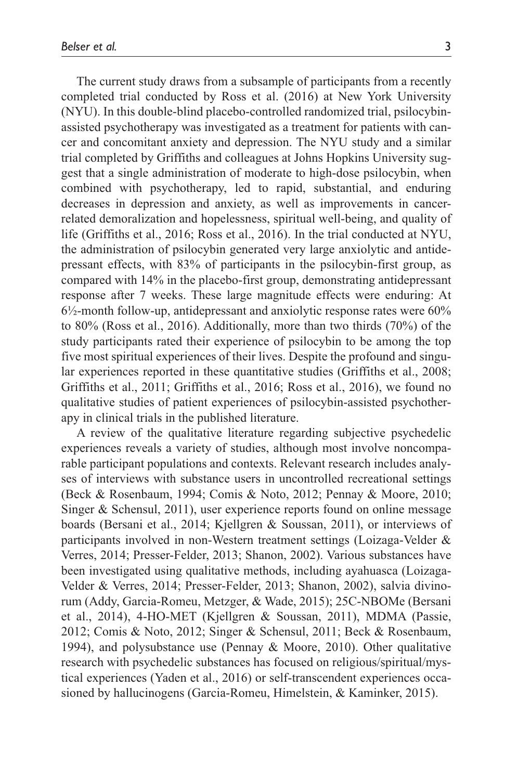The current study draws from a subsample of participants from a recently completed trial conducted by Ross et al. (2016) at New York University (NYU). In this double-blind placebo-controlled randomized trial, psilocybinassisted psychotherapy was investigated as a treatment for patients with cancer and concomitant anxiety and depression. The NYU study and a similar trial completed by Griffiths and colleagues at Johns Hopkins University suggest that a single administration of moderate to high-dose psilocybin, when combined with psychotherapy, led to rapid, substantial, and enduring decreases in depression and anxiety, as well as improvements in cancerrelated demoralization and hopelessness, spiritual well-being, and quality of life (Griffiths et al., 2016; Ross et al., 2016). In the trial conducted at NYU, the administration of psilocybin generated very large anxiolytic and antidepressant effects, with 83% of participants in the psilocybin-first group, as compared with 14% in the placebo-first group, demonstrating antidepressant response after 7 weeks. These large magnitude effects were enduring: At 6½-month follow-up, antidepressant and anxiolytic response rates were 60% to 80% (Ross et al., 2016). Additionally, more than two thirds (70%) of the study participants rated their experience of psilocybin to be among the top five most spiritual experiences of their lives. Despite the profound and singular experiences reported in these quantitative studies (Griffiths et al., 2008; Griffiths et al., 2011; Griffiths et al., 2016; Ross et al., 2016), we found no qualitative studies of patient experiences of psilocybin-assisted psychotherapy in clinical trials in the published literature.

A review of the qualitative literature regarding subjective psychedelic experiences reveals a variety of studies, although most involve noncomparable participant populations and contexts. Relevant research includes analyses of interviews with substance users in uncontrolled recreational settings (Beck & Rosenbaum, 1994; Comis & Noto, 2012; Pennay & Moore, 2010; Singer & Schensul, 2011), user experience reports found on online message boards (Bersani et al., 2014; Kjellgren & Soussan, 2011), or interviews of participants involved in non-Western treatment settings (Loizaga-Velder & Verres, 2014; Presser-Felder, 2013; Shanon, 2002). Various substances have been investigated using qualitative methods, including ayahuasca (Loizaga-Velder & Verres, 2014; Presser-Felder, 2013; Shanon, 2002), salvia divinorum (Addy, Garcia-Romeu, Metzger, & Wade, 2015); 25C-NBOMe (Bersani et al., 2014), 4-HO-MET (Kjellgren & Soussan, 2011), MDMA (Passie, 2012; Comis & Noto, 2012; Singer & Schensul, 2011; Beck & Rosenbaum, 1994), and polysubstance use (Pennay & Moore, 2010). Other qualitative research with psychedelic substances has focused on religious/spiritual/mystical experiences (Yaden et al., 2016) or self-transcendent experiences occasioned by hallucinogens (Garcia-Romeu, Himelstein, & Kaminker, 2015).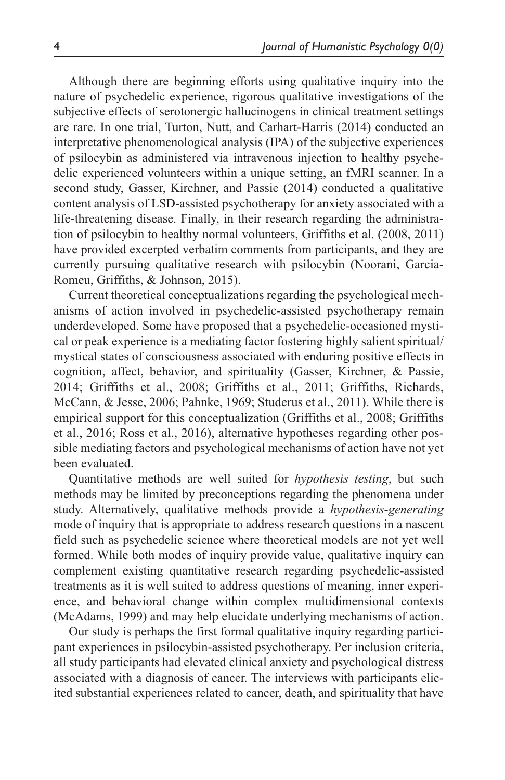Although there are beginning efforts using qualitative inquiry into the nature of psychedelic experience, rigorous qualitative investigations of the subjective effects of serotonergic hallucinogens in clinical treatment settings are rare. In one trial, Turton, Nutt, and Carhart-Harris (2014) conducted an interpretative phenomenological analysis (IPA) of the subjective experiences of psilocybin as administered via intravenous injection to healthy psychedelic experienced volunteers within a unique setting, an fMRI scanner. In a second study, Gasser, Kirchner, and Passie (2014) conducted a qualitative content analysis of LSD-assisted psychotherapy for anxiety associated with a life-threatening disease. Finally, in their research regarding the administration of psilocybin to healthy normal volunteers, Griffiths et al. (2008, 2011) have provided excerpted verbatim comments from participants, and they are currently pursuing qualitative research with psilocybin (Noorani, Garcia-Romeu, Griffiths, & Johnson, 2015).

Current theoretical conceptualizations regarding the psychological mechanisms of action involved in psychedelic-assisted psychotherapy remain underdeveloped. Some have proposed that a psychedelic-occasioned mystical or peak experience is a mediating factor fostering highly salient spiritual/ mystical states of consciousness associated with enduring positive effects in cognition, affect, behavior, and spirituality (Gasser, Kirchner, & Passie, 2014; Griffiths et al., 2008; Griffiths et al., 2011; Griffiths, Richards, McCann, & Jesse, 2006; Pahnke, 1969; Studerus et al., 2011). While there is empirical support for this conceptualization (Griffiths et al., 2008; Griffiths et al., 2016; Ross et al., 2016), alternative hypotheses regarding other possible mediating factors and psychological mechanisms of action have not yet been evaluated.

Quantitative methods are well suited for *hypothesis testing*, but such methods may be limited by preconceptions regarding the phenomena under study. Alternatively, qualitative methods provide a *hypothesis-generating* mode of inquiry that is appropriate to address research questions in a nascent field such as psychedelic science where theoretical models are not yet well formed. While both modes of inquiry provide value, qualitative inquiry can complement existing quantitative research regarding psychedelic-assisted treatments as it is well suited to address questions of meaning, inner experience, and behavioral change within complex multidimensional contexts (McAdams, 1999) and may help elucidate underlying mechanisms of action.

Our study is perhaps the first formal qualitative inquiry regarding participant experiences in psilocybin-assisted psychotherapy. Per inclusion criteria, all study participants had elevated clinical anxiety and psychological distress associated with a diagnosis of cancer. The interviews with participants elicited substantial experiences related to cancer, death, and spirituality that have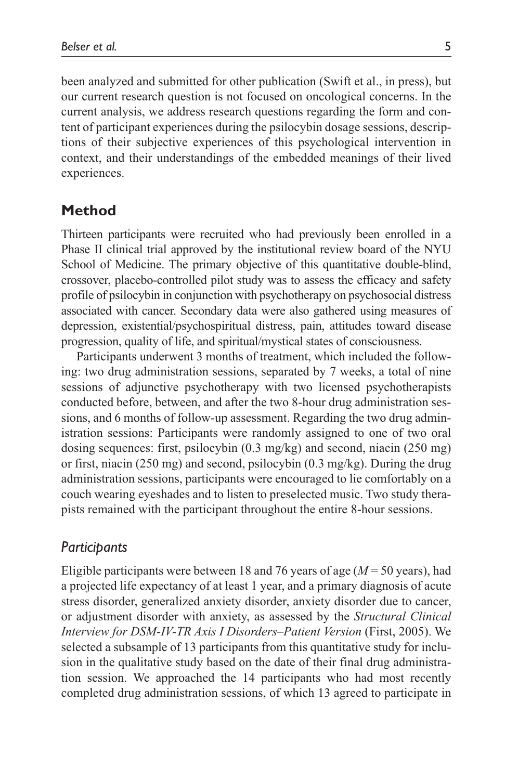been analyzed and submitted for other publication (Swift et al., in press), but our current research question is not focused on oncological concerns. In the current analysis, we address research questions regarding the form and content of participant experiences during the psilocybin dosage sessions, descriptions of their subjective experiences of this psychological intervention in context, and their understandings of the embedded meanings of their lived experiences.

### **Method**

Thirteen participants were recruited who had previously been enrolled in a Phase II clinical trial approved by the institutional review board of the NYU School of Medicine. The primary objective of this quantitative double-blind, crossover, placebo-controlled pilot study was to assess the efficacy and safety profile of psilocybin in conjunction with psychotherapy on psychosocial distress associated with cancer. Secondary data were also gathered using measures of depression, existential/psychospiritual distress, pain, attitudes toward disease progression, quality of life, and spiritual/mystical states of consciousness.

Participants underwent 3 months of treatment, which included the following: two drug administration sessions, separated by 7 weeks, a total of nine sessions of adjunctive psychotherapy with two licensed psychotherapists conducted before, between, and after the two 8-hour drug administration sessions, and 6 months of follow-up assessment. Regarding the two drug administration sessions: Participants were randomly assigned to one of two oral dosing sequences: first, psilocybin (0.3 mg/kg) and second, niacin (250 mg) or first, niacin (250 mg) and second, psilocybin (0.3 mg/kg). During the drug administration sessions, participants were encouraged to lie comfortably on a couch wearing eyeshades and to listen to preselected music. Two study therapists remained with the participant throughout the entire 8-hour sessions.

#### *Participants*

Eligible participants were between 18 and 76 years of age (*M* = 50 years), had a projected life expectancy of at least 1 year, and a primary diagnosis of acute stress disorder, generalized anxiety disorder, anxiety disorder due to cancer, or adjustment disorder with anxiety, as assessed by the *Structural Clinical Interview for DSM-IV-TR Axis I Disorders–Patient Version* (First, 2005). We selected a subsample of 13 participants from this quantitative study for inclusion in the qualitative study based on the date of their final drug administration session. We approached the 14 participants who had most recently completed drug administration sessions, of which 13 agreed to participate in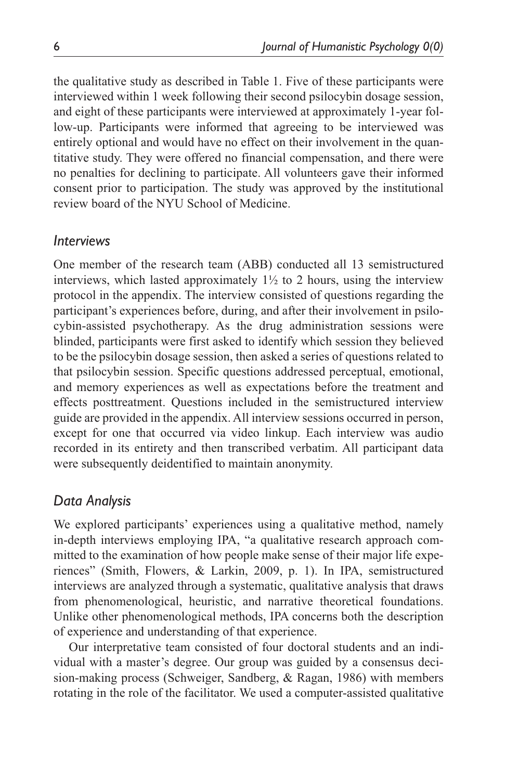the qualitative study as described in Table 1. Five of these participants were interviewed within 1 week following their second psilocybin dosage session, and eight of these participants were interviewed at approximately 1-year follow-up. Participants were informed that agreeing to be interviewed was entirely optional and would have no effect on their involvement in the quantitative study. They were offered no financial compensation, and there were no penalties for declining to participate. All volunteers gave their informed consent prior to participation. The study was approved by the institutional review board of the NYU School of Medicine.

### *Interviews*

One member of the research team (ABB) conducted all 13 semistructured interviews, which lasted approximately  $1\frac{1}{2}$  to 2 hours, using the interview protocol in the appendix. The interview consisted of questions regarding the participant's experiences before, during, and after their involvement in psilocybin-assisted psychotherapy. As the drug administration sessions were blinded, participants were first asked to identify which session they believed to be the psilocybin dosage session, then asked a series of questions related to that psilocybin session. Specific questions addressed perceptual, emotional, and memory experiences as well as expectations before the treatment and effects posttreatment. Questions included in the semistructured interview guide are provided in the appendix. All interview sessions occurred in person, except for one that occurred via video linkup. Each interview was audio recorded in its entirety and then transcribed verbatim. All participant data were subsequently deidentified to maintain anonymity.

### *Data Analysis*

We explored participants' experiences using a qualitative method, namely in-depth interviews employing IPA, "a qualitative research approach committed to the examination of how people make sense of their major life experiences" (Smith, Flowers, & Larkin, 2009, p. 1). In IPA, semistructured interviews are analyzed through a systematic, qualitative analysis that draws from phenomenological, heuristic, and narrative theoretical foundations. Unlike other phenomenological methods, IPA concerns both the description of experience and understanding of that experience.

Our interpretative team consisted of four doctoral students and an individual with a master's degree. Our group was guided by a consensus decision-making process (Schweiger, Sandberg, & Ragan, 1986) with members rotating in the role of the facilitator. We used a computer-assisted qualitative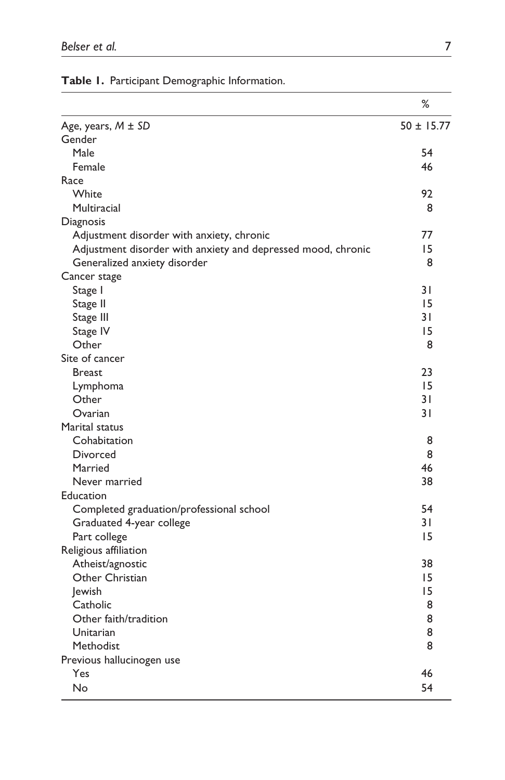**Table 1.** Participant Demographic Information.

|                                                              | %              |
|--------------------------------------------------------------|----------------|
| Age, years, M ± SD                                           | $50 \pm 15.77$ |
| Gender                                                       |                |
| Male                                                         | 54             |
| Female                                                       | 46             |
| Race                                                         |                |
| White                                                        | 92             |
| Multiracial                                                  | 8              |
| Diagnosis                                                    |                |
| Adjustment disorder with anxiety, chronic                    | 77             |
| Adjustment disorder with anxiety and depressed mood, chronic | 15             |
| Generalized anxiety disorder                                 | 8              |
| Cancer stage                                                 |                |
| Stage I                                                      | 31             |
| Stage II                                                     | 15             |
| Stage III                                                    | 31             |
| Stage IV                                                     | 15             |
| Other                                                        | 8              |
| Site of cancer                                               |                |
| <b>Breast</b>                                                | 23             |
| Lymphoma                                                     | 15             |
| Other                                                        | 31             |
| Ovarian                                                      | 31             |
| Marital status                                               |                |
| Cohabitation                                                 | 8              |
| Divorced                                                     | 8              |
| Married                                                      | 46             |
| Never married                                                | 38             |
| Education                                                    |                |
| Completed graduation/professional school                     | 54             |
| Graduated 4-year college                                     | 31             |
| Part college                                                 | 15             |
| Religious affiliation                                        |                |
| Atheist/agnostic                                             | 38             |
| Other Christian                                              | 15             |
| Jewish                                                       | 15             |
| Catholic                                                     | 8              |
| Other faith/tradition                                        | 8              |
| Unitarian                                                    | 8              |
| Methodist                                                    | 8              |
| Previous hallucinogen use                                    |                |
| Yes                                                          | 46             |
| No                                                           | 54             |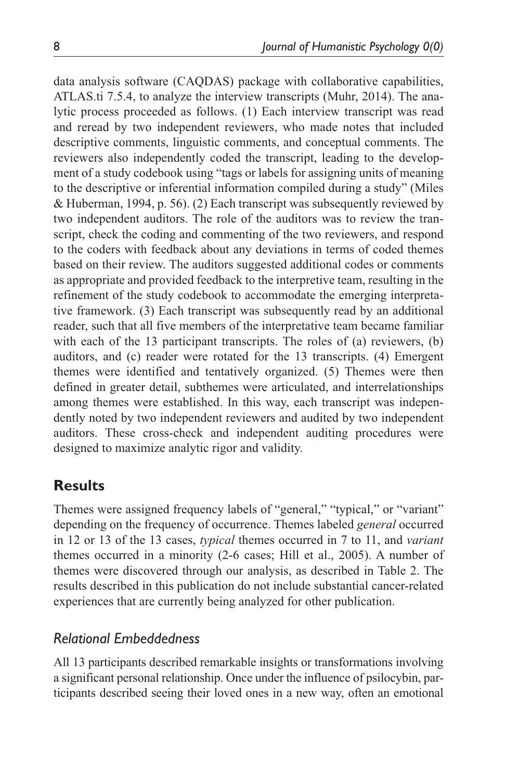data analysis software (CAQDAS) package with collaborative capabilities, ATLAS.ti 7.5.4, to analyze the interview transcripts (Muhr, 2014). The analytic process proceeded as follows. (1) Each interview transcript was read and reread by two independent reviewers, who made notes that included descriptive comments, linguistic comments, and conceptual comments. The reviewers also independently coded the transcript, leading to the development of a study codebook using "tags or labels for assigning units of meaning to the descriptive or inferential information compiled during a study" (Miles & Huberman, 1994, p. 56). (2) Each transcript was subsequently reviewed by two independent auditors. The role of the auditors was to review the transcript, check the coding and commenting of the two reviewers, and respond to the coders with feedback about any deviations in terms of coded themes based on their review. The auditors suggested additional codes or comments as appropriate and provided feedback to the interpretive team, resulting in the refinement of the study codebook to accommodate the emerging interpretative framework. (3) Each transcript was subsequently read by an additional reader, such that all five members of the interpretative team became familiar with each of the 13 participant transcripts. The roles of (a) reviewers, (b) auditors, and (c) reader were rotated for the 13 transcripts. (4) Emergent themes were identified and tentatively organized. (5) Themes were then defined in greater detail, subthemes were articulated, and interrelationships among themes were established. In this way, each transcript was independently noted by two independent reviewers and audited by two independent auditors. These cross-check and independent auditing procedures were designed to maximize analytic rigor and validity.

# **Results**

Themes were assigned frequency labels of "general," "typical," or "variant" depending on the frequency of occurrence. Themes labeled *general* occurred in 12 or 13 of the 13 cases, *typical* themes occurred in 7 to 11, and *variant* themes occurred in a minority (2-6 cases; Hill et al., 2005). A number of themes were discovered through our analysis, as described in Table 2. The results described in this publication do not include substantial cancer-related experiences that are currently being analyzed for other publication.

# *Relational Embeddedness*

All 13 participants described remarkable insights or transformations involving a significant personal relationship. Once under the influence of psilocybin, participants described seeing their loved ones in a new way, often an emotional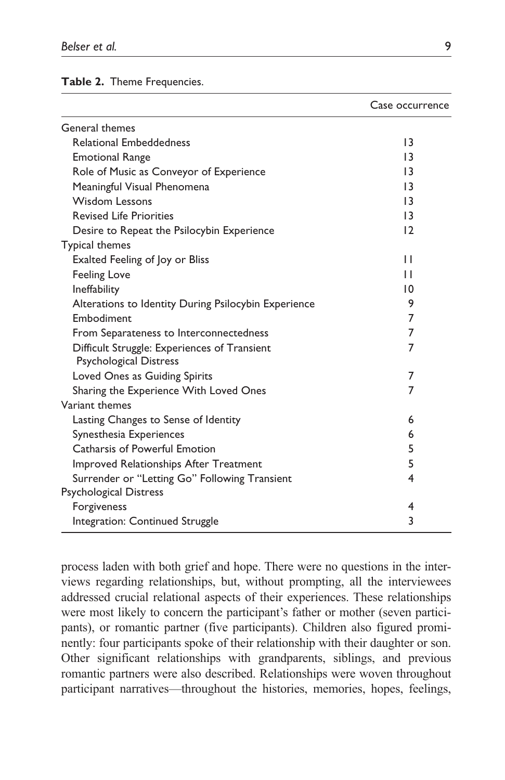**Table 2.** Theme Frequencies.

|                                                      | Case occurrence |
|------------------------------------------------------|-----------------|
| General themes                                       |                 |
| <b>Relational Embeddedness</b>                       | $\overline{13}$ |
| <b>Emotional Range</b>                               | 13              |
| Role of Music as Conveyor of Experience              | $\overline{13}$ |
| Meaningful Visual Phenomena                          | 13              |
| Wisdom Lessons                                       | $\overline{13}$ |
| <b>Revised Life Priorities</b>                       | $\overline{13}$ |
| Desire to Repeat the Psilocybin Experience           | 12              |
| <b>Typical themes</b>                                |                 |
| Exalted Feeling of Joy or Bliss                      | $\mathbf{L}$    |
| <b>Feeling Love</b>                                  | П               |
| Ineffability                                         | 10              |
| Alterations to Identity During Psilocybin Experience | 9               |
| Embodiment                                           | 7               |
| From Separateness to Interconnectedness              | 7               |
| Difficult Struggle: Experiences of Transient         | 7               |
| <b>Psychological Distress</b>                        |                 |
| Loved Ones as Guiding Spirits                        | 7               |
| Sharing the Experience With Loved Ones               | 7               |
| Variant themes                                       |                 |
| Lasting Changes to Sense of Identity                 | 6               |
| Synesthesia Experiences                              | 6               |
| Catharsis of Powerful Emotion                        | 5               |
| Improved Relationships After Treatment               | 5               |
| Surrender or "Letting Go" Following Transient        | 4               |
| Psychological Distress                               |                 |
| Forgiveness                                          | 4               |
| Integration: Continued Struggle                      | 3               |

process laden with both grief and hope. There were no questions in the interviews regarding relationships, but, without prompting, all the interviewees addressed crucial relational aspects of their experiences. These relationships were most likely to concern the participant's father or mother (seven participants), or romantic partner (five participants). Children also figured prominently: four participants spoke of their relationship with their daughter or son. Other significant relationships with grandparents, siblings, and previous romantic partners were also described. Relationships were woven throughout participant narratives—throughout the histories, memories, hopes, feelings,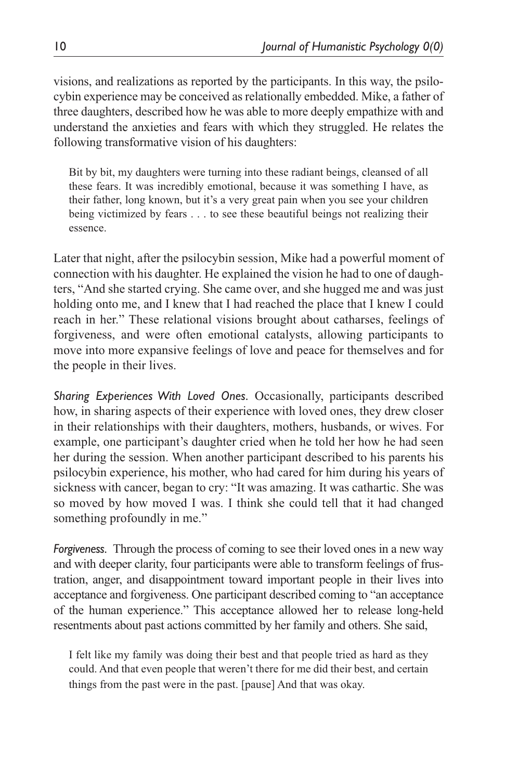visions, and realizations as reported by the participants. In this way, the psilocybin experience may be conceived as relationally embedded. Mike, a father of three daughters, described how he was able to more deeply empathize with and understand the anxieties and fears with which they struggled. He relates the following transformative vision of his daughters:

Bit by bit, my daughters were turning into these radiant beings, cleansed of all these fears. It was incredibly emotional, because it was something I have, as their father, long known, but it's a very great pain when you see your children being victimized by fears . . . to see these beautiful beings not realizing their essence.

Later that night, after the psilocybin session, Mike had a powerful moment of connection with his daughter. He explained the vision he had to one of daughters, "And she started crying. She came over, and she hugged me and was just holding onto me, and I knew that I had reached the place that I knew I could reach in her." These relational visions brought about catharses, feelings of forgiveness, and were often emotional catalysts, allowing participants to move into more expansive feelings of love and peace for themselves and for the people in their lives.

*Sharing Experiences With Loved Ones.* Occasionally, participants described how, in sharing aspects of their experience with loved ones, they drew closer in their relationships with their daughters, mothers, husbands, or wives. For example, one participant's daughter cried when he told her how he had seen her during the session. When another participant described to his parents his psilocybin experience, his mother, who had cared for him during his years of sickness with cancer, began to cry: "It was amazing. It was cathartic. She was so moved by how moved I was. I think she could tell that it had changed something profoundly in me."

*Forgiveness.* Through the process of coming to see their loved ones in a new way and with deeper clarity, four participants were able to transform feelings of frustration, anger, and disappointment toward important people in their lives into acceptance and forgiveness. One participant described coming to "an acceptance of the human experience." This acceptance allowed her to release long-held resentments about past actions committed by her family and others. She said,

I felt like my family was doing their best and that people tried as hard as they could. And that even people that weren't there for me did their best, and certain things from the past were in the past. [pause] And that was okay.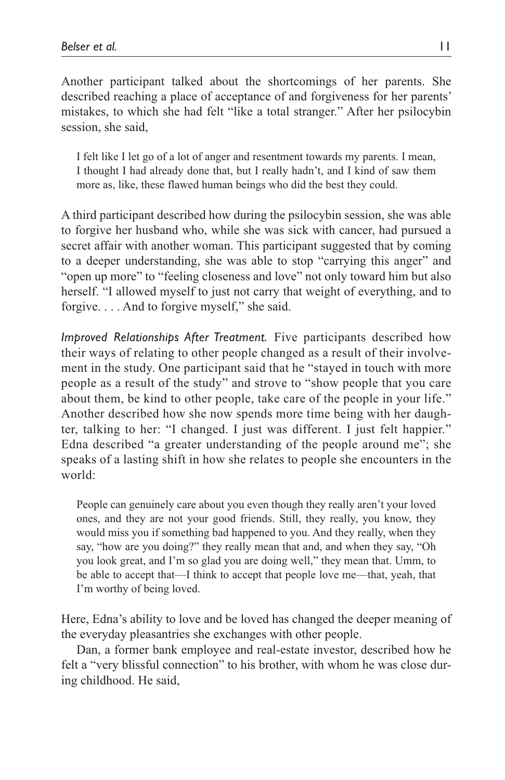Another participant talked about the shortcomings of her parents. She described reaching a place of acceptance of and forgiveness for her parents' mistakes, to which she had felt "like a total stranger." After her psilocybin session, she said,

I felt like I let go of a lot of anger and resentment towards my parents. I mean, I thought I had already done that, but I really hadn't, and I kind of saw them more as, like, these flawed human beings who did the best they could.

A third participant described how during the psilocybin session, she was able to forgive her husband who, while she was sick with cancer, had pursued a secret affair with another woman. This participant suggested that by coming to a deeper understanding, she was able to stop "carrying this anger" and "open up more" to "feeling closeness and love" not only toward him but also herself. "I allowed myself to just not carry that weight of everything, and to forgive. . . . And to forgive myself," she said.

*Improved Relationships After Treatment.* Five participants described how their ways of relating to other people changed as a result of their involvement in the study. One participant said that he "stayed in touch with more people as a result of the study" and strove to "show people that you care about them, be kind to other people, take care of the people in your life." Another described how she now spends more time being with her daughter, talking to her: "I changed. I just was different. I just felt happier." Edna described "a greater understanding of the people around me"; she speaks of a lasting shift in how she relates to people she encounters in the world:

People can genuinely care about you even though they really aren't your loved ones, and they are not your good friends. Still, they really, you know, they would miss you if something bad happened to you. And they really, when they say, "how are you doing?" they really mean that and, and when they say, "Oh you look great, and I'm so glad you are doing well," they mean that. Umm, to be able to accept that—I think to accept that people love me—that, yeah, that I'm worthy of being loved.

Here, Edna's ability to love and be loved has changed the deeper meaning of the everyday pleasantries she exchanges with other people.

Dan, a former bank employee and real-estate investor, described how he felt a "very blissful connection" to his brother, with whom he was close during childhood. He said,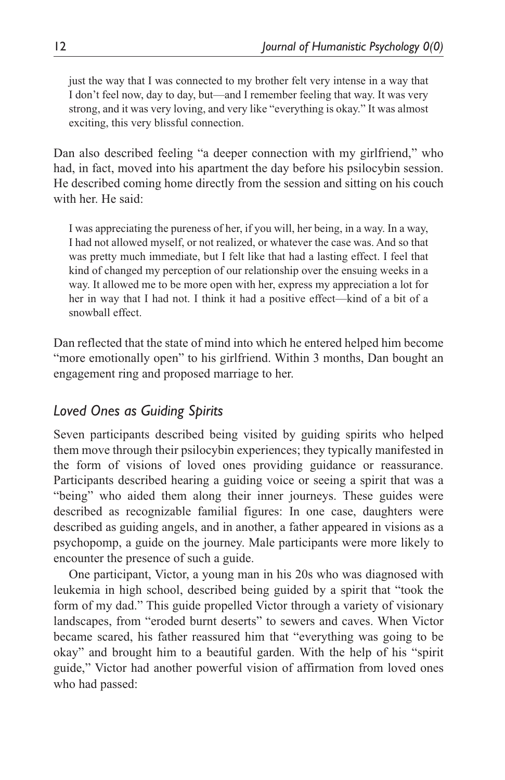just the way that I was connected to my brother felt very intense in a way that I don't feel now, day to day, but—and I remember feeling that way. It was very strong, and it was very loving, and very like "everything is okay." It was almost exciting, this very blissful connection.

Dan also described feeling "a deeper connection with my girlfriend," who had, in fact, moved into his apartment the day before his psilocybin session. He described coming home directly from the session and sitting on his couch with her. He said:

I was appreciating the pureness of her, if you will, her being, in a way. In a way, I had not allowed myself, or not realized, or whatever the case was. And so that was pretty much immediate, but I felt like that had a lasting effect. I feel that kind of changed my perception of our relationship over the ensuing weeks in a way. It allowed me to be more open with her, express my appreciation a lot for her in way that I had not. I think it had a positive effect—kind of a bit of a snowball effect.

Dan reflected that the state of mind into which he entered helped him become "more emotionally open" to his girlfriend. Within 3 months, Dan bought an engagement ring and proposed marriage to her.

# *Loved Ones as Guiding Spirits*

Seven participants described being visited by guiding spirits who helped them move through their psilocybin experiences; they typically manifested in the form of visions of loved ones providing guidance or reassurance. Participants described hearing a guiding voice or seeing a spirit that was a "being" who aided them along their inner journeys. These guides were described as recognizable familial figures: In one case, daughters were described as guiding angels, and in another, a father appeared in visions as a psychopomp, a guide on the journey. Male participants were more likely to encounter the presence of such a guide.

One participant, Victor, a young man in his 20s who was diagnosed with leukemia in high school, described being guided by a spirit that "took the form of my dad." This guide propelled Victor through a variety of visionary landscapes, from "eroded burnt deserts" to sewers and caves. When Victor became scared, his father reassured him that "everything was going to be okay" and brought him to a beautiful garden. With the help of his "spirit guide," Victor had another powerful vision of affirmation from loved ones who had passed: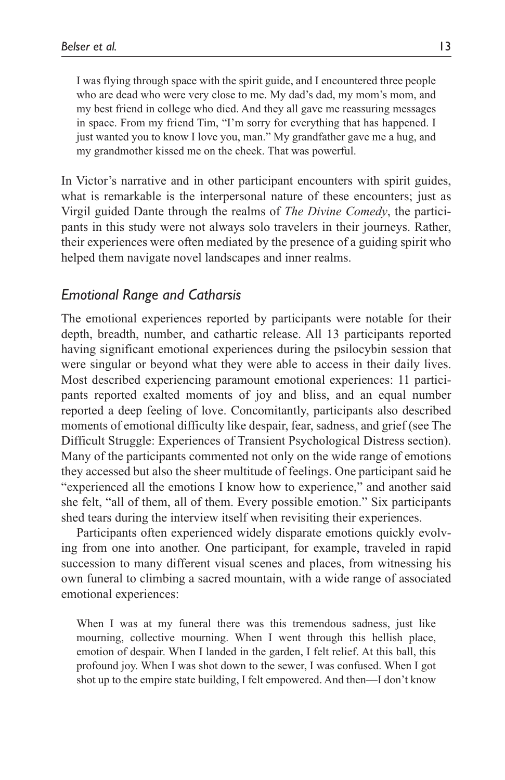I was flying through space with the spirit guide, and I encountered three people who are dead who were very close to me. My dad's dad, my mom's mom, and my best friend in college who died. And they all gave me reassuring messages in space. From my friend Tim, "I'm sorry for everything that has happened. I just wanted you to know I love you, man." My grandfather gave me a hug, and my grandmother kissed me on the cheek. That was powerful.

In Victor's narrative and in other participant encounters with spirit guides, what is remarkable is the interpersonal nature of these encounters; just as Virgil guided Dante through the realms of *The Divine Comedy*, the participants in this study were not always solo travelers in their journeys. Rather, their experiences were often mediated by the presence of a guiding spirit who helped them navigate novel landscapes and inner realms.

### *Emotional Range and Catharsis*

The emotional experiences reported by participants were notable for their depth, breadth, number, and cathartic release. All 13 participants reported having significant emotional experiences during the psilocybin session that were singular or beyond what they were able to access in their daily lives. Most described experiencing paramount emotional experiences: 11 participants reported exalted moments of joy and bliss, and an equal number reported a deep feeling of love. Concomitantly, participants also described moments of emotional difficulty like despair, fear, sadness, and grief (see The Difficult Struggle: Experiences of Transient Psychological Distress section). Many of the participants commented not only on the wide range of emotions they accessed but also the sheer multitude of feelings. One participant said he "experienced all the emotions I know how to experience," and another said she felt, "all of them, all of them. Every possible emotion." Six participants shed tears during the interview itself when revisiting their experiences.

Participants often experienced widely disparate emotions quickly evolving from one into another. One participant, for example, traveled in rapid succession to many different visual scenes and places, from witnessing his own funeral to climbing a sacred mountain, with a wide range of associated emotional experiences:

When I was at my funeral there was this tremendous sadness, just like mourning, collective mourning. When I went through this hellish place, emotion of despair. When I landed in the garden, I felt relief. At this ball, this profound joy. When I was shot down to the sewer, I was confused. When I got shot up to the empire state building, I felt empowered. And then—I don't know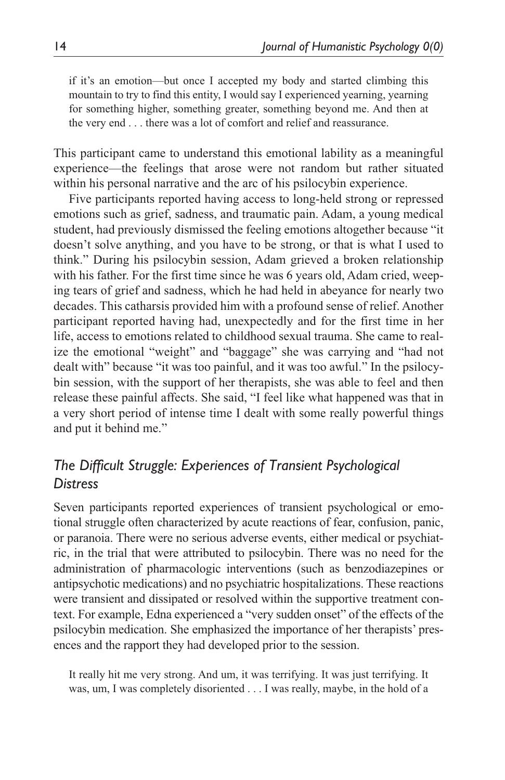if it's an emotion—but once I accepted my body and started climbing this mountain to try to find this entity, I would say I experienced yearning, yearning for something higher, something greater, something beyond me. And then at the very end . . . there was a lot of comfort and relief and reassurance.

This participant came to understand this emotional lability as a meaningful experience—the feelings that arose were not random but rather situated within his personal narrative and the arc of his psilocybin experience.

Five participants reported having access to long-held strong or repressed emotions such as grief, sadness, and traumatic pain. Adam, a young medical student, had previously dismissed the feeling emotions altogether because "it doesn't solve anything, and you have to be strong, or that is what I used to think." During his psilocybin session, Adam grieved a broken relationship with his father. For the first time since he was 6 years old, Adam cried, weeping tears of grief and sadness, which he had held in abeyance for nearly two decades. This catharsis provided him with a profound sense of relief. Another participant reported having had, unexpectedly and for the first time in her life, access to emotions related to childhood sexual trauma. She came to realize the emotional "weight" and "baggage" she was carrying and "had not dealt with" because "it was too painful, and it was too awful." In the psilocybin session, with the support of her therapists, she was able to feel and then release these painful affects. She said, "I feel like what happened was that in a very short period of intense time I dealt with some really powerful things and put it behind me."

# *The Difficult Struggle: Experiences of Transient Psychological Distress*

Seven participants reported experiences of transient psychological or emotional struggle often characterized by acute reactions of fear, confusion, panic, or paranoia. There were no serious adverse events, either medical or psychiatric, in the trial that were attributed to psilocybin. There was no need for the administration of pharmacologic interventions (such as benzodiazepines or antipsychotic medications) and no psychiatric hospitalizations. These reactions were transient and dissipated or resolved within the supportive treatment context. For example, Edna experienced a "very sudden onset" of the effects of the psilocybin medication. She emphasized the importance of her therapists' presences and the rapport they had developed prior to the session.

It really hit me very strong. And um, it was terrifying. It was just terrifying. It was, um, I was completely disoriented . . . I was really, maybe, in the hold of a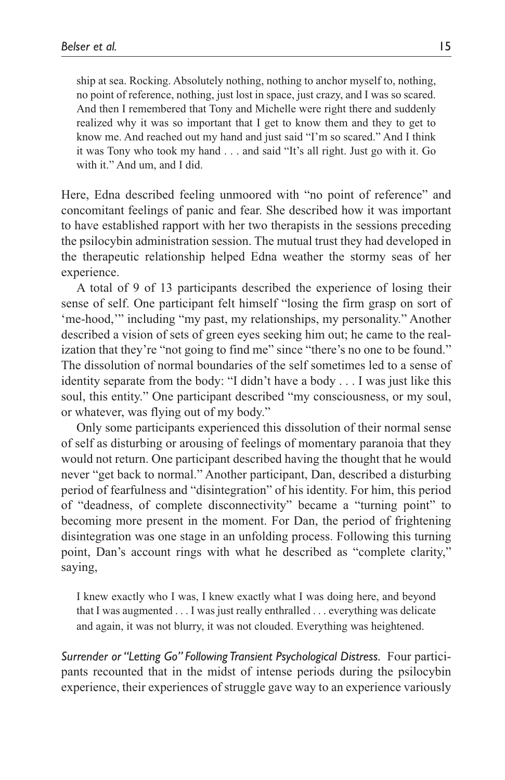ship at sea. Rocking. Absolutely nothing, nothing to anchor myself to, nothing, no point of reference, nothing, just lost in space, just crazy, and I was so scared. And then I remembered that Tony and Michelle were right there and suddenly realized why it was so important that I get to know them and they to get to know me. And reached out my hand and just said "I'm so scared." And I think it was Tony who took my hand . . . and said "It's all right. Just go with it. Go with it." And um, and I did.

Here, Edna described feeling unmoored with "no point of reference" and concomitant feelings of panic and fear. She described how it was important to have established rapport with her two therapists in the sessions preceding the psilocybin administration session. The mutual trust they had developed in the therapeutic relationship helped Edna weather the stormy seas of her experience.

A total of 9 of 13 participants described the experience of losing their sense of self. One participant felt himself "losing the firm grasp on sort of 'me-hood,'" including "my past, my relationships, my personality." Another described a vision of sets of green eyes seeking him out; he came to the realization that they're "not going to find me" since "there's no one to be found." The dissolution of normal boundaries of the self sometimes led to a sense of identity separate from the body: "I didn't have a body . . . I was just like this soul, this entity." One participant described "my consciousness, or my soul, or whatever, was flying out of my body."

Only some participants experienced this dissolution of their normal sense of self as disturbing or arousing of feelings of momentary paranoia that they would not return. One participant described having the thought that he would never "get back to normal." Another participant, Dan, described a disturbing period of fearfulness and "disintegration" of his identity. For him, this period of "deadness, of complete disconnectivity" became a "turning point" to becoming more present in the moment. For Dan, the period of frightening disintegration was one stage in an unfolding process. Following this turning point, Dan's account rings with what he described as "complete clarity," saying,

I knew exactly who I was, I knew exactly what I was doing here, and beyond that I was augmented . . . I was just really enthralled . . . everything was delicate and again, it was not blurry, it was not clouded. Everything was heightened.

*Surrender or "Letting Go" Following Transient Psychological Distress.* Four participants recounted that in the midst of intense periods during the psilocybin experience, their experiences of struggle gave way to an experience variously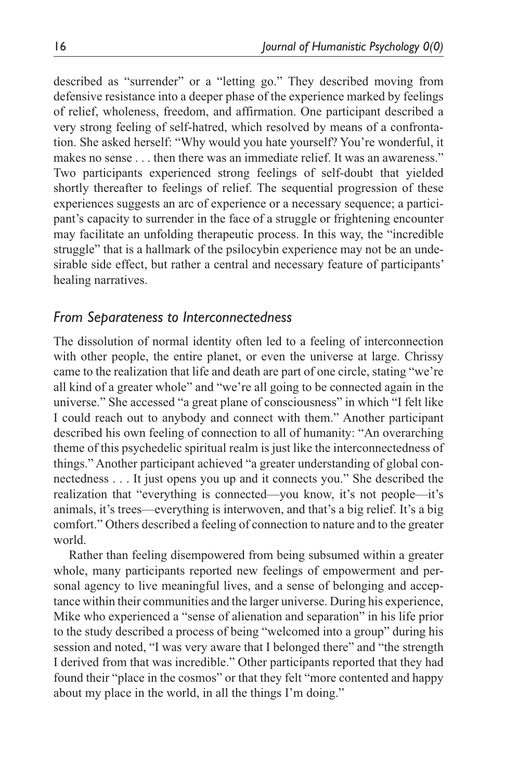described as "surrender" or a "letting go." They described moving from defensive resistance into a deeper phase of the experience marked by feelings of relief, wholeness, freedom, and affirmation. One participant described a very strong feeling of self-hatred, which resolved by means of a confrontation. She asked herself: "Why would you hate yourself? You're wonderful, it makes no sense . . . then there was an immediate relief. It was an awareness." Two participants experienced strong feelings of self-doubt that yielded shortly thereafter to feelings of relief. The sequential progression of these experiences suggests an arc of experience or a necessary sequence; a participant's capacity to surrender in the face of a struggle or frightening encounter may facilitate an unfolding therapeutic process. In this way, the "incredible struggle" that is a hallmark of the psilocybin experience may not be an undesirable side effect, but rather a central and necessary feature of participants' healing narratives.

### *From Separateness to Interconnectedness*

The dissolution of normal identity often led to a feeling of interconnection with other people, the entire planet, or even the universe at large. Chrissy came to the realization that life and death are part of one circle, stating "we're all kind of a greater whole" and "we're all going to be connected again in the universe." She accessed "a great plane of consciousness" in which "I felt like I could reach out to anybody and connect with them." Another participant described his own feeling of connection to all of humanity: "An overarching theme of this psychedelic spiritual realm is just like the interconnectedness of things." Another participant achieved "a greater understanding of global connectedness . . . It just opens you up and it connects you." She described the realization that "everything is connected—you know, it's not people—it's animals, it's trees—everything is interwoven, and that's a big relief. It's a big comfort." Others described a feeling of connection to nature and to the greater world.

Rather than feeling disempowered from being subsumed within a greater whole, many participants reported new feelings of empowerment and personal agency to live meaningful lives, and a sense of belonging and acceptance within their communities and the larger universe. During his experience, Mike who experienced a "sense of alienation and separation" in his life prior to the study described a process of being "welcomed into a group" during his session and noted, "I was very aware that I belonged there" and "the strength I derived from that was incredible." Other participants reported that they had found their "place in the cosmos" or that they felt "more contented and happy about my place in the world, in all the things I'm doing."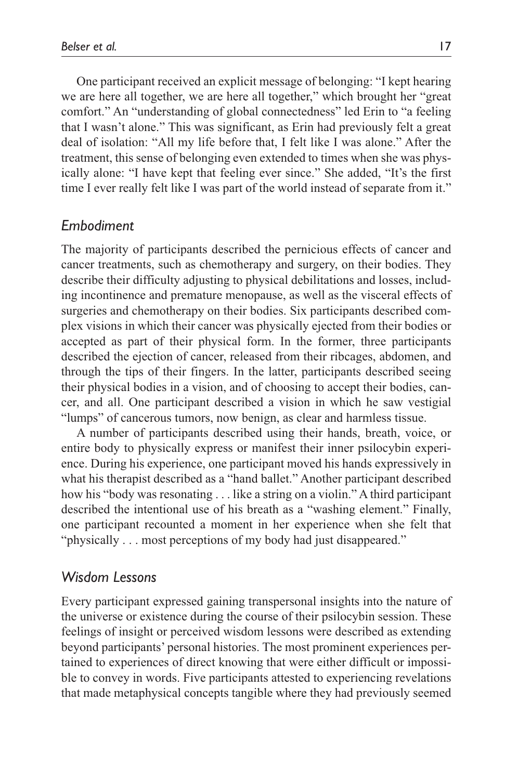One participant received an explicit message of belonging: "I kept hearing we are here all together, we are here all together," which brought her "great comfort." An "understanding of global connectedness" led Erin to "a feeling that I wasn't alone." This was significant, as Erin had previously felt a great deal of isolation: "All my life before that, I felt like I was alone." After the treatment, this sense of belonging even extended to times when she was physically alone: "I have kept that feeling ever since." She added, "It's the first time I ever really felt like I was part of the world instead of separate from it."

#### *Embodiment*

The majority of participants described the pernicious effects of cancer and cancer treatments, such as chemotherapy and surgery, on their bodies. They describe their difficulty adjusting to physical debilitations and losses, including incontinence and premature menopause, as well as the visceral effects of surgeries and chemotherapy on their bodies. Six participants described complex visions in which their cancer was physically ejected from their bodies or accepted as part of their physical form. In the former, three participants described the ejection of cancer, released from their ribcages, abdomen, and through the tips of their fingers. In the latter, participants described seeing their physical bodies in a vision, and of choosing to accept their bodies, cancer, and all. One participant described a vision in which he saw vestigial "lumps" of cancerous tumors, now benign, as clear and harmless tissue.

A number of participants described using their hands, breath, voice, or entire body to physically express or manifest their inner psilocybin experience. During his experience, one participant moved his hands expressively in what his therapist described as a "hand ballet." Another participant described how his "body was resonating . . . like a string on a violin." A third participant described the intentional use of his breath as a "washing element." Finally, one participant recounted a moment in her experience when she felt that "physically . . . most perceptions of my body had just disappeared."

#### *Wisdom Lessons*

Every participant expressed gaining transpersonal insights into the nature of the universe or existence during the course of their psilocybin session. These feelings of insight or perceived wisdom lessons were described as extending beyond participants' personal histories. The most prominent experiences pertained to experiences of direct knowing that were either difficult or impossible to convey in words. Five participants attested to experiencing revelations that made metaphysical concepts tangible where they had previously seemed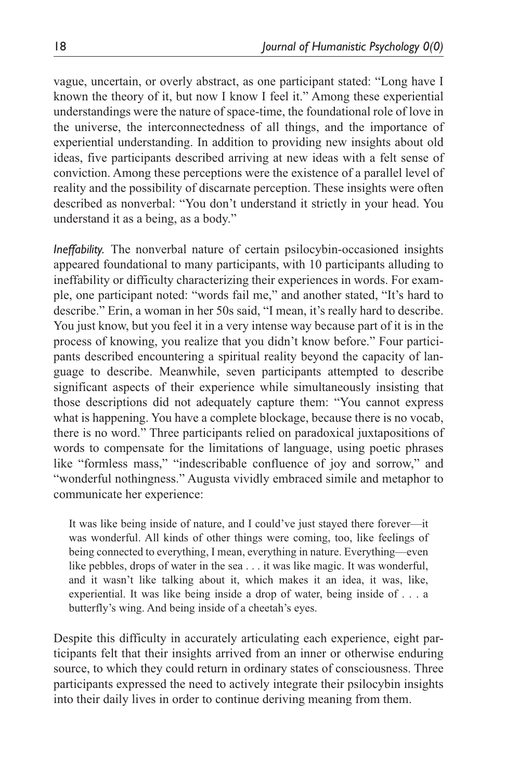vague, uncertain, or overly abstract, as one participant stated: "Long have I known the theory of it, but now I know I feel it." Among these experiential understandings were the nature of space-time, the foundational role of love in the universe, the interconnectedness of all things, and the importance of experiential understanding. In addition to providing new insights about old ideas, five participants described arriving at new ideas with a felt sense of conviction. Among these perceptions were the existence of a parallel level of reality and the possibility of discarnate perception. These insights were often described as nonverbal: "You don't understand it strictly in your head. You understand it as a being, as a body."

*Ineffability.* The nonverbal nature of certain psilocybin-occasioned insights appeared foundational to many participants, with 10 participants alluding to ineffability or difficulty characterizing their experiences in words. For example, one participant noted: "words fail me," and another stated, "It's hard to describe." Erin, a woman in her 50s said, "I mean, it's really hard to describe. You just know, but you feel it in a very intense way because part of it is in the process of knowing, you realize that you didn't know before." Four participants described encountering a spiritual reality beyond the capacity of language to describe. Meanwhile, seven participants attempted to describe significant aspects of their experience while simultaneously insisting that those descriptions did not adequately capture them: "You cannot express what is happening. You have a complete blockage, because there is no vocab, there is no word." Three participants relied on paradoxical juxtapositions of words to compensate for the limitations of language, using poetic phrases like "formless mass," "indescribable confluence of joy and sorrow," and "wonderful nothingness." Augusta vividly embraced simile and metaphor to communicate her experience:

It was like being inside of nature, and I could've just stayed there forever—it was wonderful. All kinds of other things were coming, too, like feelings of being connected to everything, I mean, everything in nature. Everything—even like pebbles, drops of water in the sea . . . it was like magic. It was wonderful, and it wasn't like talking about it, which makes it an idea, it was, like, experiential. It was like being inside a drop of water, being inside of . . . a butterfly's wing. And being inside of a cheetah's eyes.

Despite this difficulty in accurately articulating each experience, eight participants felt that their insights arrived from an inner or otherwise enduring source, to which they could return in ordinary states of consciousness. Three participants expressed the need to actively integrate their psilocybin insights into their daily lives in order to continue deriving meaning from them.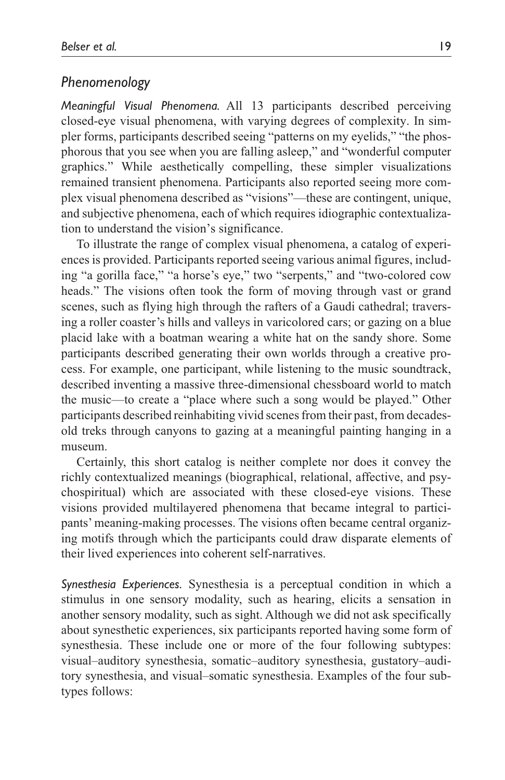#### *Phenomenology*

*Meaningful Visual Phenomena.* All 13 participants described perceiving closed-eye visual phenomena, with varying degrees of complexity. In simpler forms, participants described seeing "patterns on my eyelids," "the phosphorous that you see when you are falling asleep," and "wonderful computer graphics." While aesthetically compelling, these simpler visualizations remained transient phenomena. Participants also reported seeing more complex visual phenomena described as "visions"—these are contingent, unique, and subjective phenomena, each of which requires idiographic contextualization to understand the vision's significance.

To illustrate the range of complex visual phenomena, a catalog of experiences is provided. Participants reported seeing various animal figures, including "a gorilla face," "a horse's eye," two "serpents," and "two-colored cow heads." The visions often took the form of moving through vast or grand scenes, such as flying high through the rafters of a Gaudi cathedral; traversing a roller coaster's hills and valleys in varicolored cars; or gazing on a blue placid lake with a boatman wearing a white hat on the sandy shore. Some participants described generating their own worlds through a creative process. For example, one participant, while listening to the music soundtrack, described inventing a massive three-dimensional chessboard world to match the music—to create a "place where such a song would be played." Other participants described reinhabiting vivid scenes from their past, from decadesold treks through canyons to gazing at a meaningful painting hanging in a museum.

Certainly, this short catalog is neither complete nor does it convey the richly contextualized meanings (biographical, relational, affective, and psychospiritual) which are associated with these closed-eye visions. These visions provided multilayered phenomena that became integral to participants' meaning-making processes. The visions often became central organizing motifs through which the participants could draw disparate elements of their lived experiences into coherent self-narratives.

*Synesthesia Experiences.* Synesthesia is a perceptual condition in which a stimulus in one sensory modality, such as hearing, elicits a sensation in another sensory modality, such as sight. Although we did not ask specifically about synesthetic experiences, six participants reported having some form of synesthesia. These include one or more of the four following subtypes: visual–auditory synesthesia, somatic–auditory synesthesia, gustatory–auditory synesthesia, and visual–somatic synesthesia. Examples of the four subtypes follows: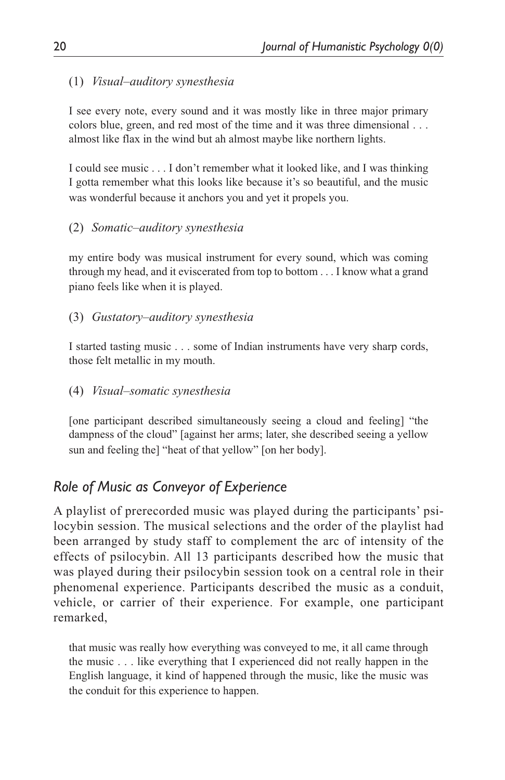### (1) *Visual–auditory synesthesia*

I see every note, every sound and it was mostly like in three major primary colors blue, green, and red most of the time and it was three dimensional . . . almost like flax in the wind but ah almost maybe like northern lights.

I could see music . . . I don't remember what it looked like, and I was thinking I gotta remember what this looks like because it's so beautiful, and the music was wonderful because it anchors you and yet it propels you.

#### (2) *Somatic–auditory synesthesia*

my entire body was musical instrument for every sound, which was coming through my head, and it eviscerated from top to bottom . . . I know what a grand piano feels like when it is played.

#### (3) *Gustatory–auditory synesthesia*

I started tasting music . . . some of Indian instruments have very sharp cords, those felt metallic in my mouth.

#### (4) *Visual–somatic synesthesia*

[one participant described simultaneously seeing a cloud and feeling] "the dampness of the cloud" [against her arms; later, she described seeing a yellow sun and feeling the] "heat of that yellow" [on her body].

# *Role of Music as Conveyor of Experience*

A playlist of prerecorded music was played during the participants' psilocybin session. The musical selections and the order of the playlist had been arranged by study staff to complement the arc of intensity of the effects of psilocybin. All 13 participants described how the music that was played during their psilocybin session took on a central role in their phenomenal experience. Participants described the music as a conduit, vehicle, or carrier of their experience. For example, one participant remarked,

that music was really how everything was conveyed to me, it all came through the music . . . like everything that I experienced did not really happen in the English language, it kind of happened through the music, like the music was the conduit for this experience to happen.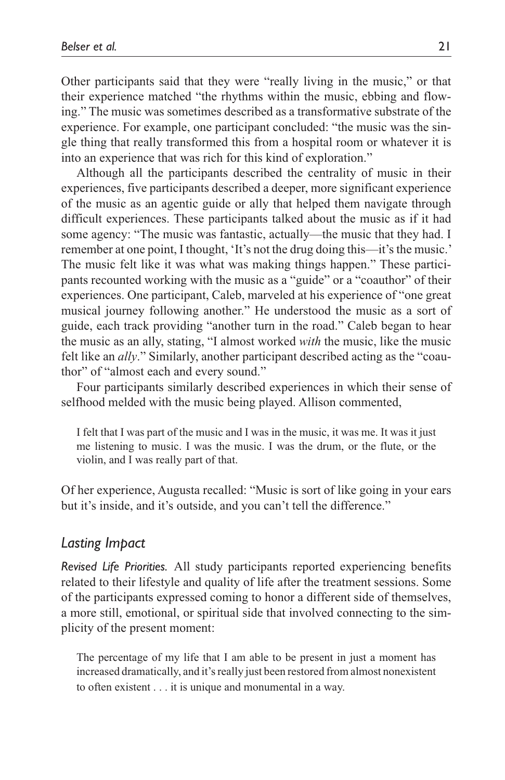Other participants said that they were "really living in the music," or that their experience matched "the rhythms within the music, ebbing and flowing." The music was sometimes described as a transformative substrate of the experience. For example, one participant concluded: "the music was the single thing that really transformed this from a hospital room or whatever it is into an experience that was rich for this kind of exploration."

Although all the participants described the centrality of music in their experiences, five participants described a deeper, more significant experience of the music as an agentic guide or ally that helped them navigate through difficult experiences. These participants talked about the music as if it had some agency: "The music was fantastic, actually—the music that they had. I remember at one point, I thought, 'It's not the drug doing this—it's the music.' The music felt like it was what was making things happen." These participants recounted working with the music as a "guide" or a "coauthor" of their experiences. One participant, Caleb, marveled at his experience of "one great musical journey following another." He understood the music as a sort of guide, each track providing "another turn in the road." Caleb began to hear the music as an ally, stating, "I almost worked *with* the music, like the music felt like an *ally*." Similarly, another participant described acting as the "coauthor" of "almost each and every sound."

Four participants similarly described experiences in which their sense of selfhood melded with the music being played. Allison commented,

I felt that I was part of the music and I was in the music, it was me. It was it just me listening to music. I was the music. I was the drum, or the flute, or the violin, and I was really part of that.

Of her experience, Augusta recalled: "Music is sort of like going in your ears but it's inside, and it's outside, and you can't tell the difference."

### *Lasting Impact*

*Revised Life Priorities.* All study participants reported experiencing benefits related to their lifestyle and quality of life after the treatment sessions. Some of the participants expressed coming to honor a different side of themselves, a more still, emotional, or spiritual side that involved connecting to the simplicity of the present moment:

The percentage of my life that I am able to be present in just a moment has increased dramatically, and it's really just been restored from almost nonexistent to often existent . . . it is unique and monumental in a way.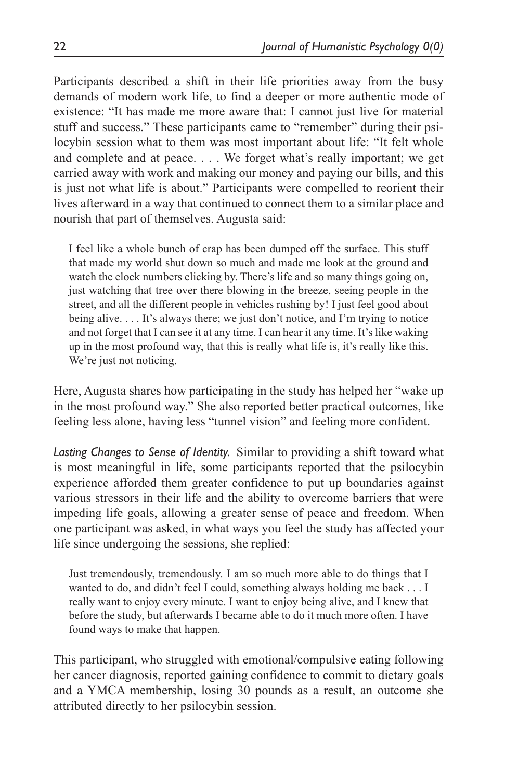Participants described a shift in their life priorities away from the busy demands of modern work life, to find a deeper or more authentic mode of existence: "It has made me more aware that: I cannot just live for material stuff and success." These participants came to "remember" during their psilocybin session what to them was most important about life: "It felt whole and complete and at peace. . . . We forget what's really important; we get carried away with work and making our money and paying our bills, and this is just not what life is about." Participants were compelled to reorient their lives afterward in a way that continued to connect them to a similar place and nourish that part of themselves. Augusta said:

I feel like a whole bunch of crap has been dumped off the surface. This stuff that made my world shut down so much and made me look at the ground and watch the clock numbers clicking by. There's life and so many things going on, just watching that tree over there blowing in the breeze, seeing people in the street, and all the different people in vehicles rushing by! I just feel good about being alive. . . . It's always there; we just don't notice, and I'm trying to notice and not forget that I can see it at any time. I can hear it any time. It's like waking up in the most profound way, that this is really what life is, it's really like this. We're just not noticing.

Here, Augusta shares how participating in the study has helped her "wake up in the most profound way." She also reported better practical outcomes, like feeling less alone, having less "tunnel vision" and feeling more confident.

*Lasting Changes to Sense of Identity.* Similar to providing a shift toward what is most meaningful in life, some participants reported that the psilocybin experience afforded them greater confidence to put up boundaries against various stressors in their life and the ability to overcome barriers that were impeding life goals, allowing a greater sense of peace and freedom. When one participant was asked, in what ways you feel the study has affected your life since undergoing the sessions, she replied:

Just tremendously, tremendously. I am so much more able to do things that I wanted to do, and didn't feel I could, something always holding me back . . . I really want to enjoy every minute. I want to enjoy being alive, and I knew that before the study, but afterwards I became able to do it much more often. I have found ways to make that happen.

This participant, who struggled with emotional/compulsive eating following her cancer diagnosis, reported gaining confidence to commit to dietary goals and a YMCA membership, losing 30 pounds as a result, an outcome she attributed directly to her psilocybin session.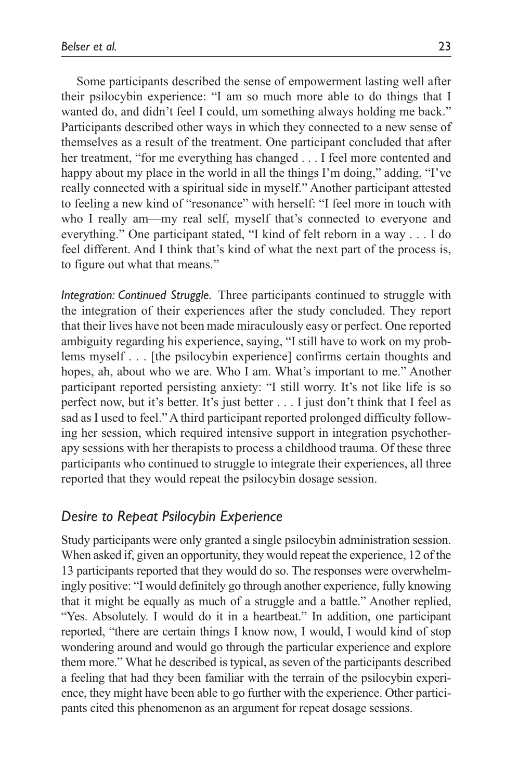Some participants described the sense of empowerment lasting well after their psilocybin experience: "I am so much more able to do things that I wanted do, and didn't feel I could, um something always holding me back." Participants described other ways in which they connected to a new sense of themselves as a result of the treatment. One participant concluded that after her treatment, "for me everything has changed . . . I feel more contented and happy about my place in the world in all the things I'm doing," adding, "I've really connected with a spiritual side in myself." Another participant attested to feeling a new kind of "resonance" with herself: "I feel more in touch with who I really am—my real self, myself that's connected to everyone and everything." One participant stated, "I kind of felt reborn in a way . . . I do feel different. And I think that's kind of what the next part of the process is, to figure out what that means."

*Integration: Continued Struggle.* Three participants continued to struggle with the integration of their experiences after the study concluded. They report that their lives have not been made miraculously easy or perfect. One reported ambiguity regarding his experience, saying, "I still have to work on my problems myself . . . [the psilocybin experience] confirms certain thoughts and hopes, ah, about who we are. Who I am. What's important to me." Another participant reported persisting anxiety: "I still worry. It's not like life is so perfect now, but it's better. It's just better . . . I just don't think that I feel as sad as I used to feel." A third participant reported prolonged difficulty following her session, which required intensive support in integration psychotherapy sessions with her therapists to process a childhood trauma. Of these three participants who continued to struggle to integrate their experiences, all three reported that they would repeat the psilocybin dosage session.

### *Desire to Repeat Psilocybin Experience*

Study participants were only granted a single psilocybin administration session. When asked if, given an opportunity, they would repeat the experience, 12 of the 13 participants reported that they would do so. The responses were overwhelmingly positive: "I would definitely go through another experience, fully knowing that it might be equally as much of a struggle and a battle." Another replied, "Yes. Absolutely. I would do it in a heartbeat." In addition, one participant reported, "there are certain things I know now, I would, I would kind of stop wondering around and would go through the particular experience and explore them more." What he described is typical, as seven of the participants described a feeling that had they been familiar with the terrain of the psilocybin experience, they might have been able to go further with the experience. Other participants cited this phenomenon as an argument for repeat dosage sessions.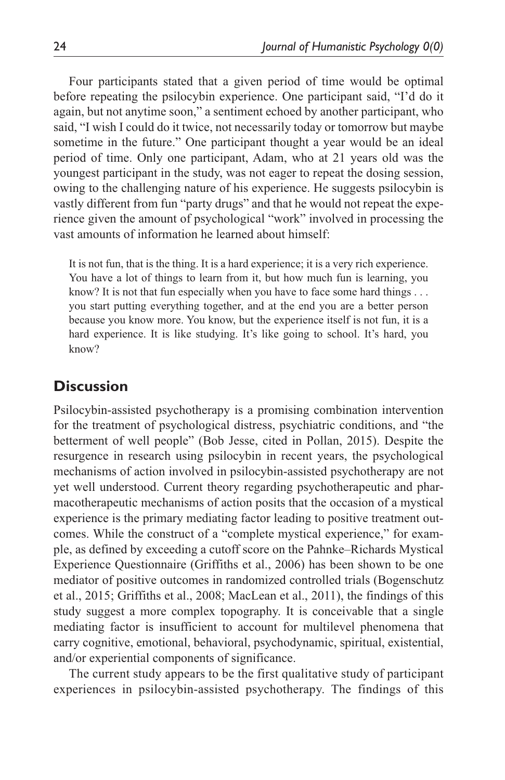Four participants stated that a given period of time would be optimal before repeating the psilocybin experience. One participant said, "I'd do it again, but not anytime soon," a sentiment echoed by another participant, who said, "I wish I could do it twice, not necessarily today or tomorrow but maybe sometime in the future." One participant thought a year would be an ideal period of time. Only one participant, Adam, who at 21 years old was the youngest participant in the study, was not eager to repeat the dosing session, owing to the challenging nature of his experience. He suggests psilocybin is vastly different from fun "party drugs" and that he would not repeat the experience given the amount of psychological "work" involved in processing the vast amounts of information he learned about himself:

It is not fun, that is the thing. It is a hard experience; it is a very rich experience. You have a lot of things to learn from it, but how much fun is learning, you know? It is not that fun especially when you have to face some hard things . . . you start putting everything together, and at the end you are a better person because you know more. You know, but the experience itself is not fun, it is a hard experience. It is like studying. It's like going to school. It's hard, you know?

# **Discussion**

Psilocybin-assisted psychotherapy is a promising combination intervention for the treatment of psychological distress, psychiatric conditions, and "the betterment of well people" (Bob Jesse, cited in Pollan, 2015). Despite the resurgence in research using psilocybin in recent years, the psychological mechanisms of action involved in psilocybin-assisted psychotherapy are not yet well understood. Current theory regarding psychotherapeutic and pharmacotherapeutic mechanisms of action posits that the occasion of a mystical experience is the primary mediating factor leading to positive treatment outcomes. While the construct of a "complete mystical experience," for example, as defined by exceeding a cutoff score on the Pahnke–Richards Mystical Experience Questionnaire (Griffiths et al., 2006) has been shown to be one mediator of positive outcomes in randomized controlled trials (Bogenschutz et al., 2015; Griffiths et al., 2008; MacLean et al., 2011), the findings of this study suggest a more complex topography. It is conceivable that a single mediating factor is insufficient to account for multilevel phenomena that carry cognitive, emotional, behavioral, psychodynamic, spiritual, existential, and/or experiential components of significance.

The current study appears to be the first qualitative study of participant experiences in psilocybin-assisted psychotherapy. The findings of this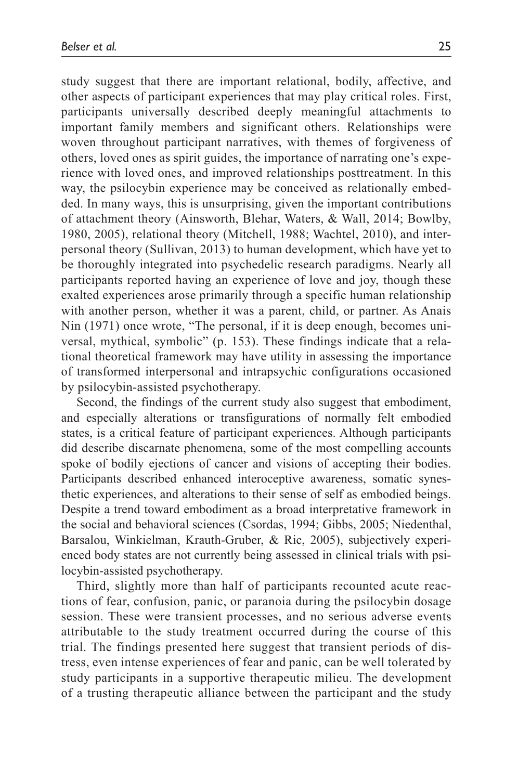study suggest that there are important relational, bodily, affective, and other aspects of participant experiences that may play critical roles. First, participants universally described deeply meaningful attachments to important family members and significant others. Relationships were woven throughout participant narratives, with themes of forgiveness of others, loved ones as spirit guides, the importance of narrating one's experience with loved ones, and improved relationships posttreatment. In this way, the psilocybin experience may be conceived as relationally embedded. In many ways, this is unsurprising, given the important contributions of attachment theory (Ainsworth, Blehar, Waters, & Wall, 2014; Bowlby, 1980, 2005), relational theory (Mitchell, 1988; Wachtel, 2010), and interpersonal theory (Sullivan, 2013) to human development, which have yet to be thoroughly integrated into psychedelic research paradigms. Nearly all participants reported having an experience of love and joy, though these exalted experiences arose primarily through a specific human relationship with another person, whether it was a parent, child, or partner. As Anais Nin (1971) once wrote, "The personal, if it is deep enough, becomes universal, mythical, symbolic" (p. 153). These findings indicate that a relational theoretical framework may have utility in assessing the importance of transformed interpersonal and intrapsychic configurations occasioned by psilocybin-assisted psychotherapy.

Second, the findings of the current study also suggest that embodiment, and especially alterations or transfigurations of normally felt embodied states, is a critical feature of participant experiences. Although participants did describe discarnate phenomena, some of the most compelling accounts spoke of bodily ejections of cancer and visions of accepting their bodies. Participants described enhanced interoceptive awareness, somatic synesthetic experiences, and alterations to their sense of self as embodied beings. Despite a trend toward embodiment as a broad interpretative framework in the social and behavioral sciences (Csordas, 1994; Gibbs, 2005; Niedenthal, Barsalou, Winkielman, Krauth-Gruber, & Ric, 2005), subjectively experienced body states are not currently being assessed in clinical trials with psilocybin-assisted psychotherapy.

Third, slightly more than half of participants recounted acute reactions of fear, confusion, panic, or paranoia during the psilocybin dosage session. These were transient processes, and no serious adverse events attributable to the study treatment occurred during the course of this trial. The findings presented here suggest that transient periods of distress, even intense experiences of fear and panic, can be well tolerated by study participants in a supportive therapeutic milieu. The development of a trusting therapeutic alliance between the participant and the study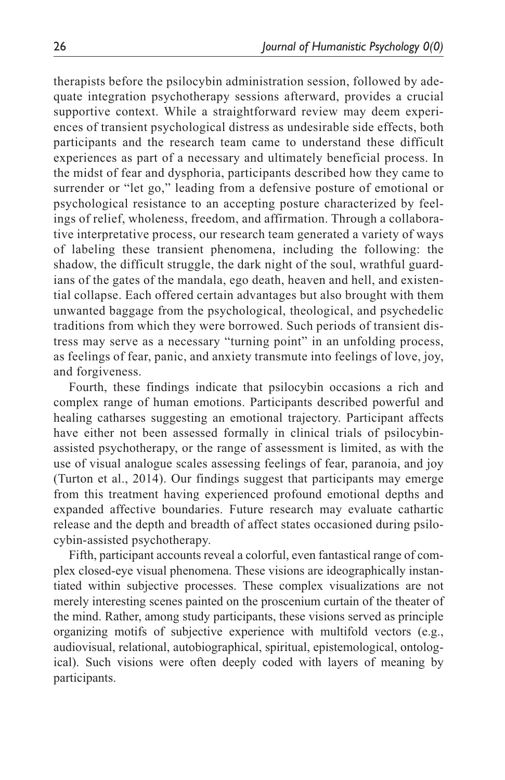therapists before the psilocybin administration session, followed by adequate integration psychotherapy sessions afterward, provides a crucial supportive context. While a straightforward review may deem experiences of transient psychological distress as undesirable side effects, both participants and the research team came to understand these difficult experiences as part of a necessary and ultimately beneficial process. In the midst of fear and dysphoria, participants described how they came to surrender or "let go," leading from a defensive posture of emotional or psychological resistance to an accepting posture characterized by feelings of relief, wholeness, freedom, and affirmation. Through a collaborative interpretative process, our research team generated a variety of ways of labeling these transient phenomena, including the following: the shadow, the difficult struggle, the dark night of the soul, wrathful guardians of the gates of the mandala, ego death, heaven and hell, and existential collapse. Each offered certain advantages but also brought with them unwanted baggage from the psychological, theological, and psychedelic traditions from which they were borrowed. Such periods of transient distress may serve as a necessary "turning point" in an unfolding process, as feelings of fear, panic, and anxiety transmute into feelings of love, joy, and forgiveness.

Fourth, these findings indicate that psilocybin occasions a rich and complex range of human emotions. Participants described powerful and healing catharses suggesting an emotional trajectory. Participant affects have either not been assessed formally in clinical trials of psilocybinassisted psychotherapy, or the range of assessment is limited, as with the use of visual analogue scales assessing feelings of fear, paranoia, and joy (Turton et al., 2014). Our findings suggest that participants may emerge from this treatment having experienced profound emotional depths and expanded affective boundaries. Future research may evaluate cathartic release and the depth and breadth of affect states occasioned during psilocybin-assisted psychotherapy.

Fifth, participant accounts reveal a colorful, even fantastical range of complex closed-eye visual phenomena. These visions are ideographically instantiated within subjective processes. These complex visualizations are not merely interesting scenes painted on the proscenium curtain of the theater of the mind. Rather, among study participants, these visions served as principle organizing motifs of subjective experience with multifold vectors (e.g., audiovisual, relational, autobiographical, spiritual, epistemological, ontological). Such visions were often deeply coded with layers of meaning by participants.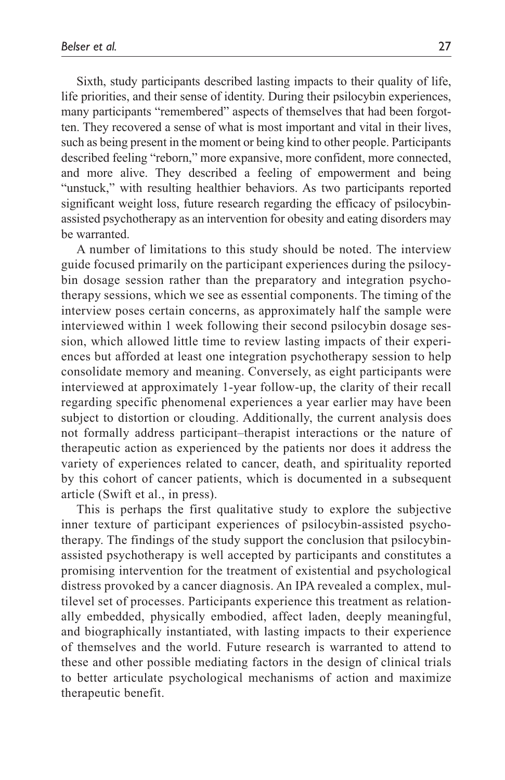Sixth, study participants described lasting impacts to their quality of life, life priorities, and their sense of identity. During their psilocybin experiences, many participants "remembered" aspects of themselves that had been forgotten. They recovered a sense of what is most important and vital in their lives, such as being present in the moment or being kind to other people. Participants described feeling "reborn," more expansive, more confident, more connected, and more alive. They described a feeling of empowerment and being "unstuck," with resulting healthier behaviors. As two participants reported significant weight loss, future research regarding the efficacy of psilocybinassisted psychotherapy as an intervention for obesity and eating disorders may be warranted.

A number of limitations to this study should be noted. The interview guide focused primarily on the participant experiences during the psilocybin dosage session rather than the preparatory and integration psychotherapy sessions, which we see as essential components. The timing of the interview poses certain concerns, as approximately half the sample were interviewed within 1 week following their second psilocybin dosage session, which allowed little time to review lasting impacts of their experiences but afforded at least one integration psychotherapy session to help consolidate memory and meaning. Conversely, as eight participants were interviewed at approximately 1-year follow-up, the clarity of their recall regarding specific phenomenal experiences a year earlier may have been subject to distortion or clouding. Additionally, the current analysis does not formally address participant–therapist interactions or the nature of therapeutic action as experienced by the patients nor does it address the variety of experiences related to cancer, death, and spirituality reported by this cohort of cancer patients, which is documented in a subsequent article (Swift et al., in press).

This is perhaps the first qualitative study to explore the subjective inner texture of participant experiences of psilocybin-assisted psychotherapy. The findings of the study support the conclusion that psilocybinassisted psychotherapy is well accepted by participants and constitutes a promising intervention for the treatment of existential and psychological distress provoked by a cancer diagnosis. An IPA revealed a complex, multilevel set of processes. Participants experience this treatment as relationally embedded, physically embodied, affect laden, deeply meaningful, and biographically instantiated, with lasting impacts to their experience of themselves and the world. Future research is warranted to attend to these and other possible mediating factors in the design of clinical trials to better articulate psychological mechanisms of action and maximize therapeutic benefit.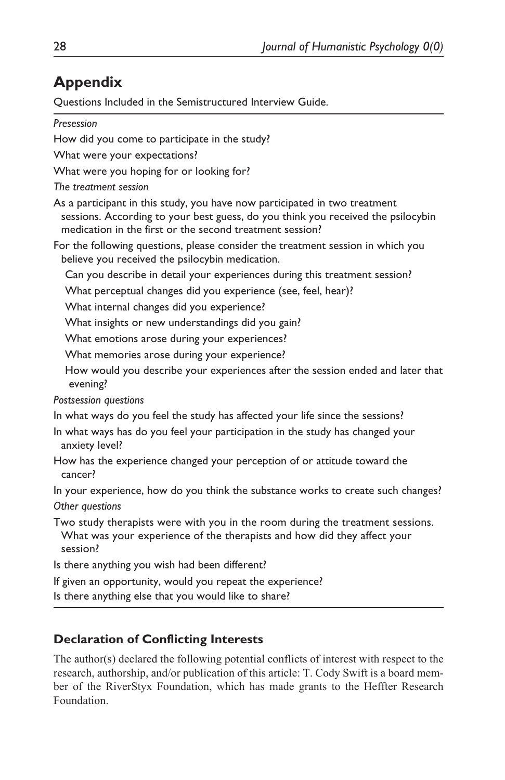# **Appendix**

Questions Included in the Semistructured Interview Guide.

*Presession*

How did you come to participate in the study?

What were your expectations?

What were you hoping for or looking for?

*The treatment session*

As a participant in this study, you have now participated in two treatment sessions. According to your best guess, do you think you received the psilocybin medication in the first or the second treatment session?

For the following questions, please consider the treatment session in which you believe you received the psilocybin medication.

Can you describe in detail your experiences during this treatment session?

What perceptual changes did you experience (see, feel, hear)?

What internal changes did you experience?

What insights or new understandings did you gain?

What emotions arose during your experiences?

What memories arose during your experience?

How would you describe your experiences after the session ended and later that evening?

*Postsession questions*

In what ways do you feel the study has affected your life since the sessions?

- In what ways has do you feel your participation in the study has changed your anxiety level?
- How has the experience changed your perception of or attitude toward the cancer?

In your experience, how do you think the substance works to create such changes?

*Other questions*

Two study therapists were with you in the room during the treatment sessions. What was your experience of the therapists and how did they affect your session?

Is there anything you wish had been different?

If given an opportunity, would you repeat the experience?

Is there anything else that you would like to share?

### **Declaration of Conflicting Interests**

The author(s) declared the following potential conflicts of interest with respect to the research, authorship, and/or publication of this article: T. Cody Swift is a board member of the RiverStyx Foundation, which has made grants to the Heffter Research Foundation.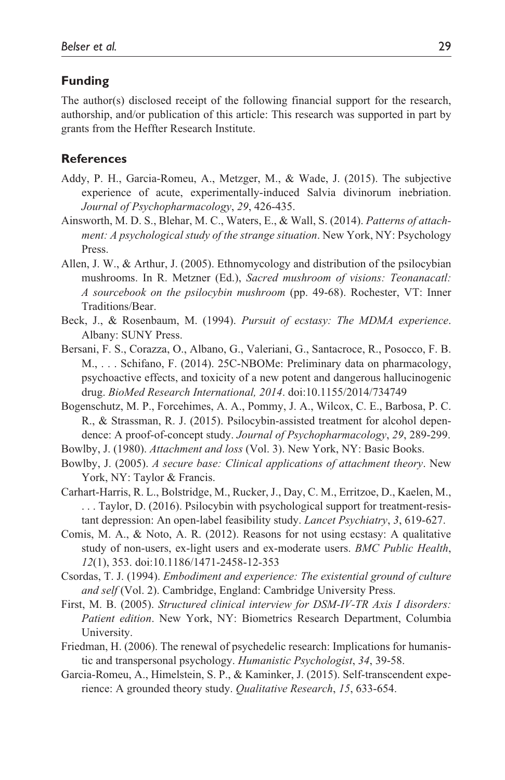#### **Funding**

The author(s) disclosed receipt of the following financial support for the research, authorship, and/or publication of this article: This research was supported in part by grants from the Heffter Research Institute.

#### **References**

- Addy, P. H., Garcia-Romeu, A., Metzger, M., & Wade, J. (2015). The subjective experience of acute, experimentally-induced Salvia divinorum inebriation. *Journal of Psychopharmacology*, *29*, 426-435.
- Ainsworth, M. D. S., Blehar, M. C., Waters, E., & Wall, S. (2014). *Patterns of attachment: A psychological study of the strange situation*. New York, NY: Psychology Press.
- Allen, J. W., & Arthur, J. (2005). Ethnomycology and distribution of the psilocybian mushrooms. In R. Metzner (Ed.), *Sacred mushroom of visions: Teonanacatl: A sourcebook on the psilocybin mushroom* (pp. 49-68). Rochester, VT: Inner Traditions/Bear.
- Beck, J., & Rosenbaum, M. (1994). *Pursuit of ecstasy: The MDMA experience*. Albany: SUNY Press.
- Bersani, F. S., Corazza, O., Albano, G., Valeriani, G., Santacroce, R., Posocco, F. B. M., . . . Schifano, F. (2014). 25C-NBOMe: Preliminary data on pharmacology, psychoactive effects, and toxicity of a new potent and dangerous hallucinogenic drug. *BioMed Research International, 2014*. doi:10.1155/2014/734749

Bogenschutz, M. P., Forcehimes, A. A., Pommy, J. A., Wilcox, C. E., Barbosa, P. C. R., & Strassman, R. J. (2015). Psilocybin-assisted treatment for alcohol dependence: A proof-of-concept study. *Journal of Psychopharmacology*, *29*, 289-299.

- Bowlby, J. (1980). *Attachment and loss* (Vol. 3). New York, NY: Basic Books.
- Bowlby, J. (2005). *A secure base: Clinical applications of attachment theory*. New York, NY: Taylor & Francis.
- Carhart-Harris, R. L., Bolstridge, M., Rucker, J., Day, C. M., Erritzoe, D., Kaelen, M., . . . Taylor, D. (2016). Psilocybin with psychological support for treatment-resistant depression: An open-label feasibility study. *Lancet Psychiatry*, *3*, 619-627.
- Comis, M. A., & Noto, A. R. (2012). Reasons for not using ecstasy: A qualitative study of non-users, ex-light users and ex-moderate users. *BMC Public Health*, *12*(1), 353. doi:10.1186/1471-2458-12-353
- Csordas, T. J. (1994). *Embodiment and experience: The existential ground of culture and self* (Vol. 2). Cambridge, England: Cambridge University Press.
- First, M. B. (2005). *Structured clinical interview for DSM-IV-TR Axis I disorders: Patient edition*. New York, NY: Biometrics Research Department, Columbia University.
- Friedman, H. (2006). The renewal of psychedelic research: Implications for humanistic and transpersonal psychology. *Humanistic Psychologist*, *34*, 39-58.
- Garcia-Romeu, A., Himelstein, S. P., & Kaminker, J. (2015). Self-transcendent experience: A grounded theory study. *Qualitative Research*, *15*, 633-654.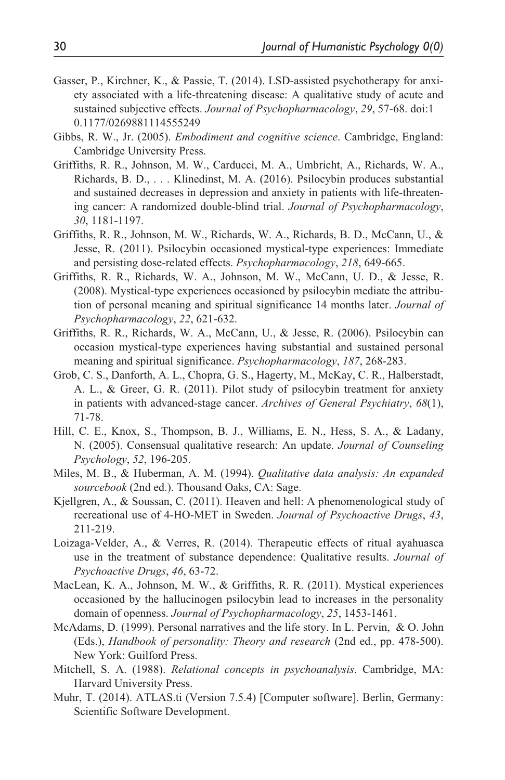- Gasser, P., Kirchner, K., & Passie, T. (2014). LSD-assisted psychotherapy for anxiety associated with a life-threatening disease: A qualitative study of acute and sustained subjective effects. *Journal of Psychopharmacology*, *29*, 57-68. doi:1 0.1177/0269881114555249
- Gibbs, R. W., Jr. (2005). *Embodiment and cognitive science*. Cambridge, England: Cambridge University Press.
- Griffiths, R. R., Johnson, M. W., Carducci, M. A., Umbricht, A., Richards, W. A., Richards, B. D., . . . Klinedinst, M. A. (2016). Psilocybin produces substantial and sustained decreases in depression and anxiety in patients with life-threatening cancer: A randomized double-blind trial. *Journal of Psychopharmacology*, *30*, 1181-1197.
- Griffiths, R. R., Johnson, M. W., Richards, W. A., Richards, B. D., McCann, U., & Jesse, R. (2011). Psilocybin occasioned mystical-type experiences: Immediate and persisting dose-related effects. *Psychopharmacology*, *218*, 649-665.
- Griffiths, R. R., Richards, W. A., Johnson, M. W., McCann, U. D., & Jesse, R. (2008). Mystical-type experiences occasioned by psilocybin mediate the attribution of personal meaning and spiritual significance 14 months later. *Journal of Psychopharmacology*, *22*, 621-632.
- Griffiths, R. R., Richards, W. A., McCann, U., & Jesse, R. (2006). Psilocybin can occasion mystical-type experiences having substantial and sustained personal meaning and spiritual significance. *Psychopharmacology*, *187*, 268-283.
- Grob, C. S., Danforth, A. L., Chopra, G. S., Hagerty, M., McKay, C. R., Halberstadt, A. L., & Greer, G. R. (2011). Pilot study of psilocybin treatment for anxiety in patients with advanced-stage cancer. *Archives of General Psychiatry*, *68*(1), 71-78.
- Hill, C. E., Knox, S., Thompson, B. J., Williams, E. N., Hess, S. A., & Ladany, N. (2005). Consensual qualitative research: An update. *Journal of Counseling Psychology*, *52*, 196-205.
- Miles, M. B., & Huberman, A. M. (1994). *Qualitative data analysis: An expanded sourcebook* (2nd ed.). Thousand Oaks, CA: Sage.
- Kjellgren, A., & Soussan, C. (2011). Heaven and hell: A phenomenological study of recreational use of 4-HO-MET in Sweden. *Journal of Psychoactive Drugs*, *43*, 211-219.
- Loizaga-Velder, A., & Verres, R. (2014). Therapeutic effects of ritual ayahuasca use in the treatment of substance dependence: Qualitative results. *Journal of Psychoactive Drugs*, *46*, 63-72.
- MacLean, K. A., Johnson, M. W., & Griffiths, R. R. (2011). Mystical experiences occasioned by the hallucinogen psilocybin lead to increases in the personality domain of openness. *Journal of Psychopharmacology*, *25*, 1453-1461.
- McAdams, D. (1999). Personal narratives and the life story. In L. Pervin, & O. John (Eds.), *Handbook of personality: Theory and research* (2nd ed., pp. 478-500). New York: Guilford Press.
- Mitchell, S. A. (1988). *Relational concepts in psychoanalysis*. Cambridge, MA: Harvard University Press.
- Muhr, T. (2014). ATLAS.ti (Version 7.5.4) [Computer software]. Berlin, Germany: Scientific Software Development.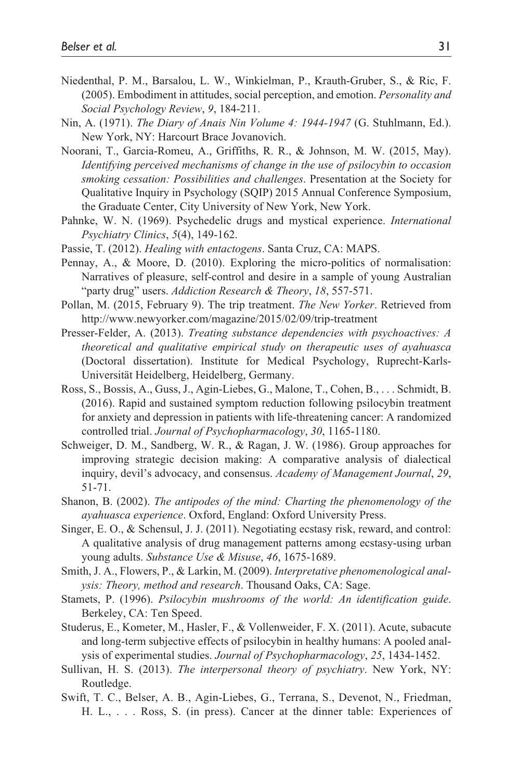- Niedenthal, P. M., Barsalou, L. W., Winkielman, P., Krauth-Gruber, S., & Ric, F. (2005). Embodiment in attitudes, social perception, and emotion. *Personality and Social Psychology Review*, *9*, 184-211.
- Nin, A. (1971). *The Diary of Anais Nin Volume 4: 1944-1947* (G. Stuhlmann, Ed.). New York, NY: Harcourt Brace Jovanovich.
- Noorani, T., Garcia-Romeu, A., Griffiths, R. R., & Johnson, M. W. (2015, May). *Identifying perceived mechanisms of change in the use of psilocybin to occasion smoking cessation: Possibilities and challenges*. Presentation at the Society for Qualitative Inquiry in Psychology (SQIP) 2015 Annual Conference Symposium, the Graduate Center, City University of New York, New York.
- Pahnke, W. N. (1969). Psychedelic drugs and mystical experience. *International Psychiatry Clinics*, *5*(4), 149-162.
- Passie, T. (2012). *Healing with entactogens*. Santa Cruz, CA: MAPS.
- Pennay, A., & Moore, D. (2010). Exploring the micro-politics of normalisation: Narratives of pleasure, self-control and desire in a sample of young Australian "party drug" users. *Addiction Research & Theory*, *18*, 557-571.
- Pollan, M. (2015, February 9). The trip treatment. *The New Yorker*. Retrieved from <http://www.newyorker.com/magazine/2015/02/09/trip-treatment>
- Presser-Felder, A. (2013). *Treating substance dependencies with psychoactives: A theoretical and qualitative empirical study on therapeutic uses of ayahuasca* (Doctoral dissertation). Institute for Medical Psychology, Ruprecht-Karls-Universität Heidelberg, Heidelberg, Germany.
- Ross, S., Bossis, A., Guss, J., Agin-Liebes, G., Malone, T., Cohen, B., . . . Schmidt, B. (2016). Rapid and sustained symptom reduction following psilocybin treatment for anxiety and depression in patients with life-threatening cancer: A randomized controlled trial. *Journal of Psychopharmacology*, *30*, 1165-1180.
- Schweiger, D. M., Sandberg, W. R., & Ragan, J. W. (1986). Group approaches for improving strategic decision making: A comparative analysis of dialectical inquiry, devil's advocacy, and consensus. *Academy of Management Journal*, *29*, 51-71.
- Shanon, B. (2002). *The antipodes of the mind: Charting the phenomenology of the ayahuasca experience*. Oxford, England: Oxford University Press.
- Singer, E. O., & Schensul, J. J. (2011). Negotiating ecstasy risk, reward, and control: A qualitative analysis of drug management patterns among ecstasy-using urban young adults. *Substance Use & Misuse*, *46*, 1675-1689.
- Smith, J. A., Flowers, P., & Larkin, M. (2009). *Interpretative phenomenological analysis: Theory, method and research*. Thousand Oaks, CA: Sage.
- Stamets, P. (1996). *Psilocybin mushrooms of the world: An identification guide*. Berkeley, CA: Ten Speed.
- Studerus, E., Kometer, M., Hasler, F., & Vollenweider, F. X. (2011). Acute, subacute and long-term subjective effects of psilocybin in healthy humans: A pooled analysis of experimental studies. *Journal of Psychopharmacology*, *25*, 1434-1452.
- Sullivan, H. S. (2013). *The interpersonal theory of psychiatry*. New York, NY: Routledge.
- Swift, T. C., Belser, A. B., Agin-Liebes, G., Terrana, S., Devenot, N., Friedman, H. L., . . . Ross, S. (in press). Cancer at the dinner table: Experiences of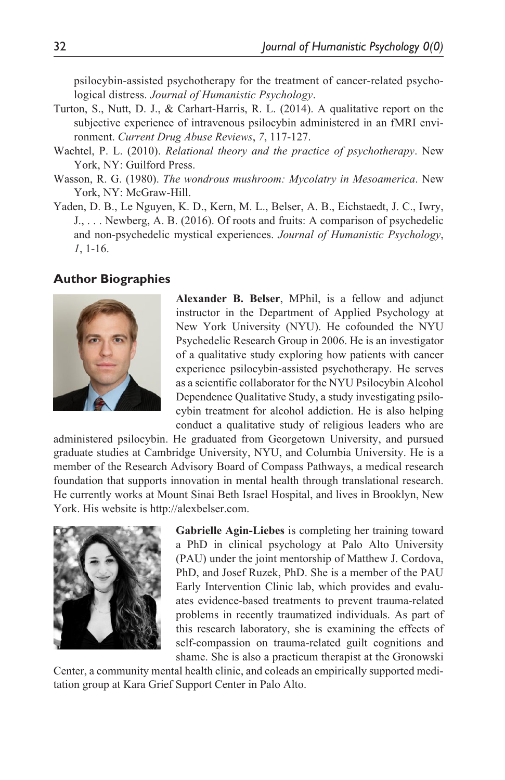psilocybin-assisted psychotherapy for the treatment of cancer-related psychological distress. *Journal of Humanistic Psychology*.

- Turton, S., Nutt, D. J., & Carhart-Harris, R. L. (2014). A qualitative report on the subjective experience of intravenous psilocybin administered in an fMRI environment. *Current Drug Abuse Reviews*, *7*, 117-127.
- Wachtel, P. L. (2010). *Relational theory and the practice of psychotherapy*. New York, NY: Guilford Press.
- Wasson, R. G. (1980). *The wondrous mushroom: Mycolatry in Mesoamerica*. New York, NY: McGraw-Hill.
- Yaden, D. B., Le Nguyen, K. D., Kern, M. L., Belser, A. B., Eichstaedt, J. C., Iwry, J., . . . Newberg, A. B. (2016). Of roots and fruits: A comparison of psychedelic and non-psychedelic mystical experiences. *Journal of Humanistic Psychology*, *1*, 1-16.

#### **Author Biographies**



**Alexander B. Belser**, MPhil, is a fellow and adjunct instructor in the Department of Applied Psychology at New York University (NYU). He cofounded the NYU Psychedelic Research Group in 2006. He is an investigator of a qualitative study exploring how patients with cancer experience psilocybin-assisted psychotherapy. He serves as a scientific collaborator for the NYU Psilocybin Alcohol Dependence Qualitative Study, a study investigating psilocybin treatment for alcohol addiction. He is also helping conduct a qualitative study of religious leaders who are

administered psilocybin. He graduated from Georgetown University, and pursued graduate studies at Cambridge University, NYU, and Columbia University. He is a member of the Research Advisory Board of Compass Pathways, a medical research foundation that supports innovation in mental health through translational research. He currently works at Mount Sinai Beth Israel Hospital, and lives in Brooklyn, New York. His website is <http://alexbelser.com>.



**Gabrielle Agin-Liebes** is completing her training toward a PhD in clinical psychology at Palo Alto University (PAU) under the joint mentorship of Matthew J. Cordova, PhD, and Josef Ruzek, PhD. She is a member of the PAU Early Intervention Clinic lab, which provides and evaluates evidence-based treatments to prevent trauma-related problems in recently traumatized individuals. As part of this research laboratory, she is examining the effects of self-compassion on trauma-related guilt cognitions and shame. She is also a practicum therapist at the Gronowski

Center, a community mental health clinic, and coleads an empirically supported meditation group at Kara Grief Support Center in Palo Alto.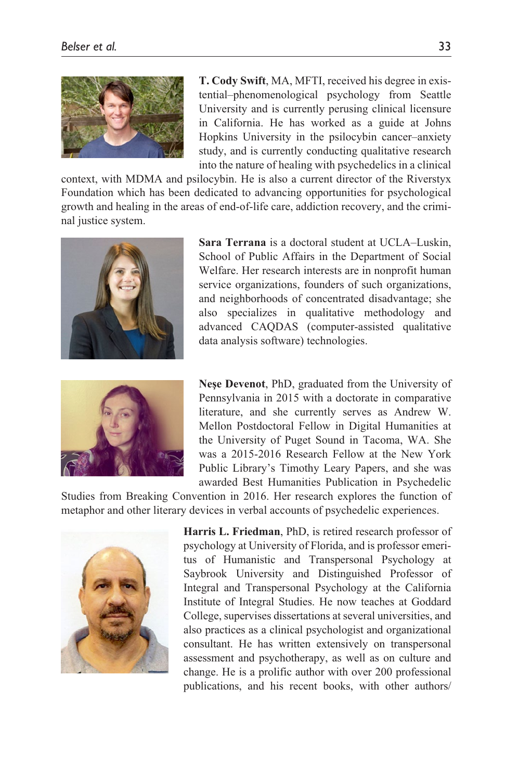

**T. Cody Swift**, MA, MFTI, received his degree in existential–phenomenological psychology from Seattle University and is currently perusing clinical licensure in California. He has worked as a guide at Johns Hopkins University in the psilocybin cancer–anxiety study, and is currently conducting qualitative research into the nature of healing with psychedelics in a clinical

context, with MDMA and psilocybin. He is also a current director of the Riverstyx Foundation which has been dedicated to advancing opportunities for psychological growth and healing in the areas of end-of-life care, addiction recovery, and the criminal justice system.



**Sara Terrana** is a doctoral student at UCLA–Luskin, School of Public Affairs in the Department of Social Welfare. Her research interests are in nonprofit human service organizations, founders of such organizations, and neighborhoods of concentrated disadvantage; she also specializes in qualitative methodology and advanced CAQDAS (computer-assisted qualitative data analysis software) technologies.



**Neşe Devenot**, PhD, graduated from the University of Pennsylvania in 2015 with a doctorate in comparative literature, and she currently serves as Andrew W. Mellon Postdoctoral Fellow in Digital Humanities at the University of Puget Sound in Tacoma, WA. She was a 2015-2016 Research Fellow at the New York Public Library's Timothy Leary Papers, and she was awarded Best Humanities Publication in Psychedelic

Studies from Breaking Convention in 2016. Her research explores the function of metaphor and other literary devices in verbal accounts of psychedelic experiences.



**Harris L. Friedman**, PhD, is retired research professor of psychology at University of Florida, and is professor emeritus of Humanistic and Transpersonal Psychology at Saybrook University and Distinguished Professor of Integral and Transpersonal Psychology at the California Institute of Integral Studies. He now teaches at Goddard College, supervises dissertations at several universities, and also practices as a clinical psychologist and organizational consultant. He has written extensively on transpersonal assessment and psychotherapy, as well as on culture and change. He is a prolific author with over 200 professional publications, and his recent books, with other authors/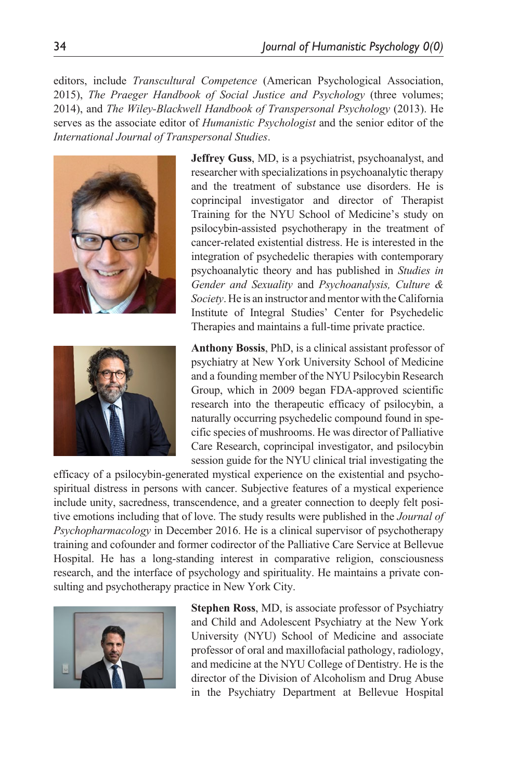editors, include *Transcultural Competence* (American Psychological Association, 2015), *The Praeger Handbook of Social Justice and Psychology* (three volumes; 2014), and *The Wiley-Blackwell Handbook of Transpersonal Psychology* (2013). He serves as the associate editor of *Humanistic Psychologist* and the senior editor of the *International Journal of Transpersonal Studies*.





**Jeffrey Guss**, MD, is a psychiatrist, psychoanalyst, and researcher with specializations in psychoanalytic therapy and the treatment of substance use disorders. He is coprincipal investigator and director of Therapist Training for the NYU School of Medicine's study on psilocybin-assisted psychotherapy in the treatment of cancer-related existential distress. He is interested in the integration of psychedelic therapies with contemporary psychoanalytic theory and has published in *Studies in Gender and Sexuality* and *Psychoanalysis, Culture & Society*. He is an instructor and mentor with the California Institute of Integral Studies' Center for Psychedelic Therapies and maintains a full-time private practice.

**Anthony Bossis**, PhD, is a clinical assistant professor of psychiatry at New York University School of Medicine and a founding member of the NYU Psilocybin Research Group, which in 2009 began FDA-approved scientific research into the therapeutic efficacy of psilocybin, a naturally occurring psychedelic compound found in specific species of mushrooms. He was director of Palliative Care Research, coprincipal investigator, and psilocybin session guide for the NYU clinical trial investigating the

efficacy of a psilocybin-generated mystical experience on the existential and psychospiritual distress in persons with cancer. Subjective features of a mystical experience include unity, sacredness, transcendence, and a greater connection to deeply felt positive emotions including that of love. The study results were published in the *Journal of Psychopharmacology* in December 2016. He is a clinical supervisor of psychotherapy training and cofounder and former codirector of the Palliative Care Service at Bellevue Hospital. He has a long-standing interest in comparative religion, consciousness research, and the interface of psychology and spirituality. He maintains a private consulting and psychotherapy practice in New York City.



**Stephen Ross**, MD, is associate professor of Psychiatry and Child and Adolescent Psychiatry at the New York University (NYU) School of Medicine and associate professor of oral and maxillofacial pathology, radiology, and medicine at the NYU College of Dentistry. He is the director of the Division of Alcoholism and Drug Abuse in the Psychiatry Department at Bellevue Hospital